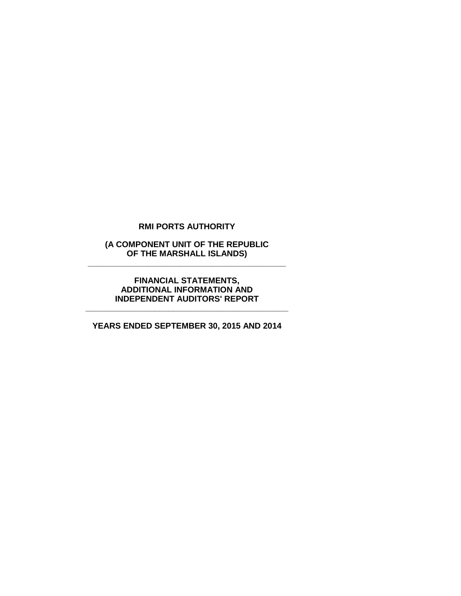# **RMI PORTS AUTHORITY**

**(A COMPONENT UNIT OF THE REPUBLIC OF THE MARSHALL ISLANDS) \_\_\_\_\_\_\_\_\_\_\_\_\_\_\_\_\_\_\_\_\_\_\_\_\_\_\_\_\_\_\_\_\_\_\_\_\_\_\_\_\_\_\_**

#### **FINANCIAL STATEMENTS, ADDITIONAL INFORMATION AND INDEPENDENT AUDITORS' REPORT**

**YEARS ENDED SEPTEMBER 30, 2015 AND 2014**

**\_\_\_\_\_\_\_\_\_\_\_\_\_\_\_\_\_\_\_\_\_\_\_\_\_\_\_\_\_\_\_\_\_\_\_\_\_\_\_\_\_\_\_\_**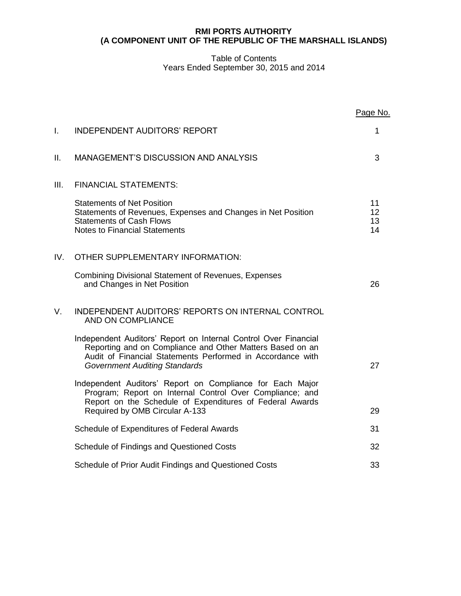## Table of Contents Years Ended September 30, 2015 and 2014

|      |                                                                                                                                                                                                                                    | Page No.             |
|------|------------------------------------------------------------------------------------------------------------------------------------------------------------------------------------------------------------------------------------|----------------------|
| I.   | <b>INDEPENDENT AUDITORS' REPORT</b>                                                                                                                                                                                                | 1                    |
| II.  | MANAGEMENT'S DISCUSSION AND ANALYSIS                                                                                                                                                                                               | 3                    |
| III. | <b>FINANCIAL STATEMENTS:</b>                                                                                                                                                                                                       |                      |
|      | <b>Statements of Net Position</b><br>Statements of Revenues, Expenses and Changes in Net Position<br><b>Statements of Cash Flows</b><br><b>Notes to Financial Statements</b>                                                       | 11<br>12<br>13<br>14 |
| IV.  | OTHER SUPPLEMENTARY INFORMATION:                                                                                                                                                                                                   |                      |
|      | Combining Divisional Statement of Revenues, Expenses<br>and Changes in Net Position                                                                                                                                                | 26                   |
| V.   | INDEPENDENT AUDITORS' REPORTS ON INTERNAL CONTROL<br>AND ON COMPLIANCE                                                                                                                                                             |                      |
|      | Independent Auditors' Report on Internal Control Over Financial<br>Reporting and on Compliance and Other Matters Based on an<br>Audit of Financial Statements Performed in Accordance with<br><b>Government Auditing Standards</b> | 27                   |
|      | Independent Auditors' Report on Compliance for Each Major<br>Program; Report on Internal Control Over Compliance; and<br>Report on the Schedule of Expenditures of Federal Awards<br>Required by OMB Circular A-133                | 29                   |
|      | Schedule of Expenditures of Federal Awards                                                                                                                                                                                         | 31                   |
|      | Schedule of Findings and Questioned Costs                                                                                                                                                                                          | 32                   |
|      | Schedule of Prior Audit Findings and Questioned Costs                                                                                                                                                                              | 33                   |
|      |                                                                                                                                                                                                                                    |                      |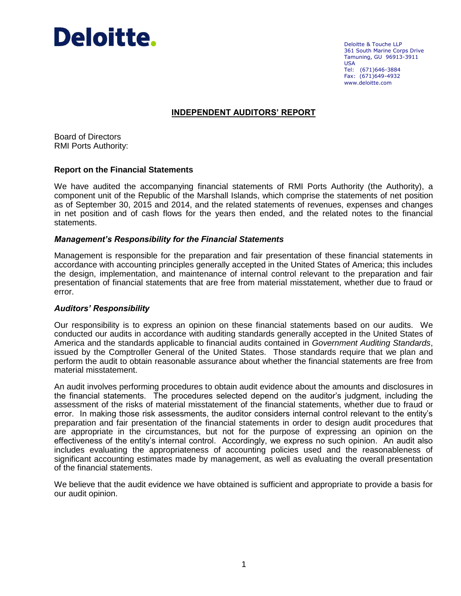

Deloitte & Touche LLP 361 South Marine Corps Drive Tamuning, GU 96913-3911 USA Tel: (671)646-3884 Fax: (671)649-4932 www.deloitte.com

## **INDEPENDENT AUDITORS' REPORT**

Board of Directors RMI Ports Authority:

## **Report on the Financial Statements**

We have audited the accompanying financial statements of RMI Ports Authority (the Authority), a component unit of the Republic of the Marshall Islands, which comprise the statements of net position as of September 30, 2015 and 2014, and the related statements of revenues, expenses and changes in net position and of cash flows for the years then ended, and the related notes to the financial statements.

#### *Management's Responsibility for the Financial Statements*

Management is responsible for the preparation and fair presentation of these financial statements in accordance with accounting principles generally accepted in the United States of America; this includes the design, implementation, and maintenance of internal control relevant to the preparation and fair presentation of financial statements that are free from material misstatement, whether due to fraud or error.

## *Auditors' Responsibility*

Our responsibility is to express an opinion on these financial statements based on our audits. We conducted our audits in accordance with auditing standards generally accepted in the United States of America and the standards applicable to financial audits contained in *Government Auditing Standards*, issued by the Comptroller General of the United States. Those standards require that we plan and perform the audit to obtain reasonable assurance about whether the financial statements are free from material misstatement.

An audit involves performing procedures to obtain audit evidence about the amounts and disclosures in the financial statements. The procedures selected depend on the auditor's judgment, including the assessment of the risks of material misstatement of the financial statements, whether due to fraud or error. In making those risk assessments, the auditor considers internal control relevant to the entity's preparation and fair presentation of the financial statements in order to design audit procedures that are appropriate in the circumstances, but not for the purpose of expressing an opinion on the effectiveness of the entity's internal control. Accordingly, we express no such opinion. An audit also includes evaluating the appropriateness of accounting policies used and the reasonableness of significant accounting estimates made by management, as well as evaluating the overall presentation of the financial statements.

We believe that the audit evidence we have obtained is sufficient and appropriate to provide a basis for our audit opinion.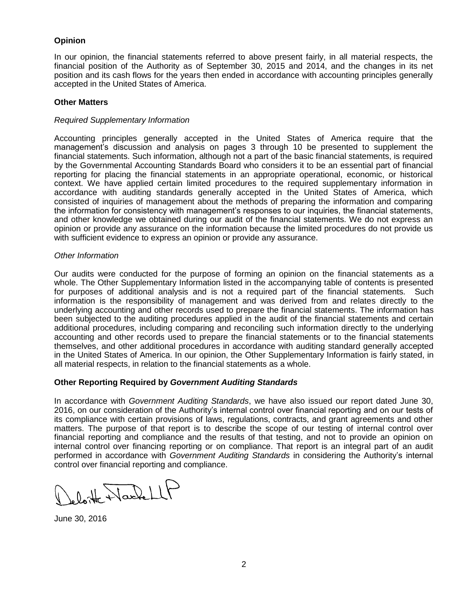# **Opinion**

In our opinion, the financial statements referred to above present fairly, in all material respects, the financial position of the Authority as of September 30, 2015 and 2014, and the changes in its net position and its cash flows for the years then ended in accordance with accounting principles generally accepted in the United States of America.

## **Other Matters**

#### *Required Supplementary Information*

Accounting principles generally accepted in the United States of America require that the management's discussion and analysis on pages 3 through 10 be presented to supplement the financial statements. Such information, although not a part of the basic financial statements, is required by the Governmental Accounting Standards Board who considers it to be an essential part of financial reporting for placing the financial statements in an appropriate operational, economic, or historical context. We have applied certain limited procedures to the required supplementary information in accordance with auditing standards generally accepted in the United States of America, which consisted of inquiries of management about the methods of preparing the information and comparing the information for consistency with management's responses to our inquiries, the financial statements, and other knowledge we obtained during our audit of the financial statements. We do not express an opinion or provide any assurance on the information because the limited procedures do not provide us with sufficient evidence to express an opinion or provide any assurance.

#### *Other Information*

Our audits were conducted for the purpose of forming an opinion on the financial statements as a whole. The Other Supplementary Information listed in the accompanying table of contents is presented for purposes of additional analysis and is not a required part of the financial statements. Such information is the responsibility of management and was derived from and relates directly to the underlying accounting and other records used to prepare the financial statements. The information has been subjected to the auditing procedures applied in the audit of the financial statements and certain additional procedures, including comparing and reconciling such information directly to the underlying accounting and other records used to prepare the financial statements or to the financial statements themselves, and other additional procedures in accordance with auditing standard generally accepted in the United States of America. In our opinion, the Other Supplementary Information is fairly stated, in all material respects, in relation to the financial statements as a whole.

## **Other Reporting Required by** *Government Auditing Standards*

In accordance with *Government Auditing Standards*, we have also issued our report dated June 30, 2016, on our consideration of the Authority's internal control over financial reporting and on our tests of its compliance with certain provisions of laws, regulations, contracts, and grant agreements and other matters. The purpose of that report is to describe the scope of our testing of internal control over financial reporting and compliance and the results of that testing, and not to provide an opinion on internal control over financing reporting or on compliance. That report is an integral part of an audit performed in accordance with *Government Auditing Standards* in considering the Authority's internal control over financial reporting and compliance.

eloite Nachell

June 30, 2016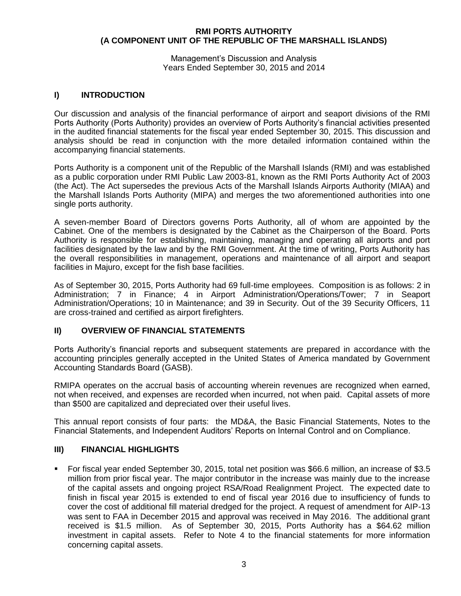Management's Discussion and Analysis Years Ended September 30, 2015 and 2014

# **I) INTRODUCTION**

Our discussion and analysis of the financial performance of airport and seaport divisions of the RMI Ports Authority (Ports Authority) provides an overview of Ports Authority's financial activities presented in the audited financial statements for the fiscal year ended September 30, 2015. This discussion and analysis should be read in conjunction with the more detailed information contained within the accompanying financial statements.

Ports Authority is a component unit of the Republic of the Marshall Islands (RMI) and was established as a public corporation under RMI Public Law 2003-81, known as the RMI Ports Authority Act of 2003 (the Act). The Act supersedes the previous Acts of the Marshall Islands Airports Authority (MIAA) and the Marshall Islands Ports Authority (MIPA) and merges the two aforementioned authorities into one single ports authority.

A seven-member Board of Directors governs Ports Authority, all of whom are appointed by the Cabinet. One of the members is designated by the Cabinet as the Chairperson of the Board. Ports Authority is responsible for establishing, maintaining, managing and operating all airports and port facilities designated by the law and by the RMI Government. At the time of writing, Ports Authority has the overall responsibilities in management, operations and maintenance of all airport and seaport facilities in Majuro, except for the fish base facilities.

As of September 30, 2015, Ports Authority had 69 full-time employees. Composition is as follows: 2 in Administration; 7 in Finance; 4 in Airport Administration/Operations/Tower; 7 in Seaport Administration/Operations; 10 in Maintenance; and 39 in Security. Out of the 39 Security Officers, 11 are cross-trained and certified as airport firefighters.

# **II) OVERVIEW OF FINANCIAL STATEMENTS**

Ports Authority's financial reports and subsequent statements are prepared in accordance with the accounting principles generally accepted in the United States of America mandated by Government Accounting Standards Board (GASB).

RMIPA operates on the accrual basis of accounting wherein revenues are recognized when earned, not when received, and expenses are recorded when incurred, not when paid. Capital assets of more than \$500 are capitalized and depreciated over their useful lives.

This annual report consists of four parts: the MD&A, the Basic Financial Statements, Notes to the Financial Statements, and Independent Auditors' Reports on Internal Control and on Compliance.

# **III) FINANCIAL HIGHLIGHTS**

 For fiscal year ended September 30, 2015, total net position was \$66.6 million, an increase of \$3.5 million from prior fiscal year. The major contributor in the increase was mainly due to the increase of the capital assets and ongoing project RSA/Road Realignment Project. The expected date to finish in fiscal year 2015 is extended to end of fiscal year 2016 due to insufficiency of funds to cover the cost of additional fill material dredged for the project. A request of amendment for AIP-13 was sent to FAA in December 2015 and approval was received in May 2016. The additional grant received is \$1.5 million. As of September 30, 2015, Ports Authority has a \$64.62 million investment in capital assets. Refer to Note 4 to the financial statements for more information concerning capital assets.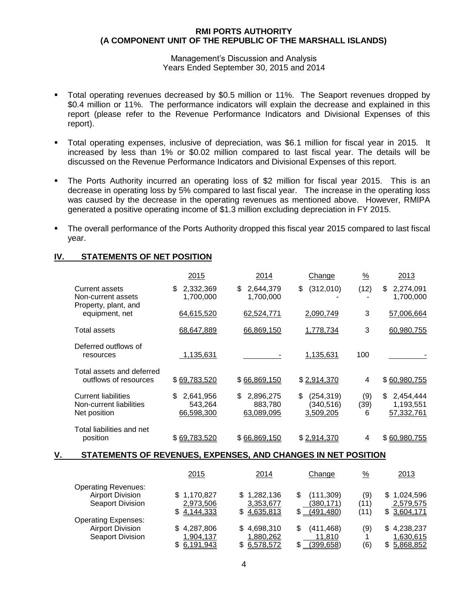## Management's Discussion and Analysis Years Ended September 30, 2015 and 2014

- Total operating revenues decreased by \$0.5 million or 11%. The Seaport revenues dropped by \$0.4 million or 11%. The performance indicators will explain the decrease and explained in this report (please refer to the Revenue Performance Indicators and Divisional Expenses of this report).
- Total operating expenses, inclusive of depreciation, was \$6.1 million for fiscal year in 2015. It increased by less than 1% or \$0.02 million compared to last fiscal year. The details will be discussed on the Revenue Performance Indicators and Divisional Expenses of this report.
- The Ports Authority incurred an operating loss of \$2 million for fiscal year 2015. This is an decrease in operating loss by 5% compared to last fiscal year. The increase in the operating loss was caused by the decrease in the operating revenues as mentioned above. However, RMIPA generated a positive operating income of \$1.3 million excluding depreciation in FY 2015.
- The overall performance of the Ports Authority dropped this fiscal year 2015 compared to last fiscal year.

# **IV. STATEMENTS OF NET POSITION**

|                                                                       | 2015                                     | 2014                                     | Change                                      | $\frac{9}{6}$    | 2013                                       |
|-----------------------------------------------------------------------|------------------------------------------|------------------------------------------|---------------------------------------------|------------------|--------------------------------------------|
| <b>Current assets</b><br>Non-current assets<br>Property, plant, and   | \$<br>2,332,369<br>1,700,000             | \$<br>2,644,379<br>1,700,000             | \$<br>(312,010)                             | (12)             | \$<br>2,274,091<br>1,700,000               |
| equipment, net                                                        | 64,615,520                               | 62,524,771                               | 2,090,749                                   | 3                | 57,006,664                                 |
| Total assets                                                          | 68,647,889                               | 66,869,150                               | 1,778,734                                   | 3                | 60,980,755                                 |
| Deferred outflows of<br>resources                                     | 1,135,631                                |                                          | 1,135,631                                   | 100              |                                            |
| Total assets and deferred<br>outflows of resources                    | \$69,783,520                             | \$66,869,150                             | \$2,914,370                                 | 4                | \$60,980,755                               |
| <b>Current liabilities</b><br>Non-current liabilities<br>Net position | \$<br>2,641,956<br>543,264<br>66,598,300 | \$<br>2,896,275<br>883,780<br>63,089,095 | \$<br>(254, 319)<br>(340, 516)<br>3,509,205 | (9)<br>(39)<br>6 | \$<br>2,454,444<br>1,193,551<br>57,332,761 |
| Total liabilities and net<br>position                                 | \$69,783,520                             | \$66,869,150                             | \$2,914,370                                 | 4                | \$60,980,755                               |

# **V. STATEMENTS OF REVENUES, EXPENSES, AND CHANGES IN NET POSITION**

|                            | 2015        | 2014            | Change           | $\frac{9}{6}$ | 2013            |
|----------------------------|-------------|-----------------|------------------|---------------|-----------------|
| <b>Operating Revenues:</b> |             |                 |                  |               |                 |
| <b>Airport Division</b>    | \$1,170,827 | \$1,282,136     | (111, 309)<br>S  | (9)           | \$1,024,596     |
| Seaport Division           | 2,973,506   | 3,353,677       | (380,171)        | (11)          | 2,579,575       |
|                            | \$4,144,333 | 4,635,813<br>S. | \$<br>(491.480)  | (11)          | \$3,604,171     |
| <b>Operating Expenses:</b> |             |                 |                  |               |                 |
| <b>Airport Division</b>    | \$4,287,806 | 4,698,310<br>S. | (411,468)<br>S   | (9)           | \$4,238,237     |
| <b>Seaport Division</b>    | 1,904,137   | 1,880,262       | 11,810           |               | 1,630,615       |
|                            | 6,191,943   | 6,578,572       | \$<br>(399, 658) | (6)           | \$<br>5,868,852 |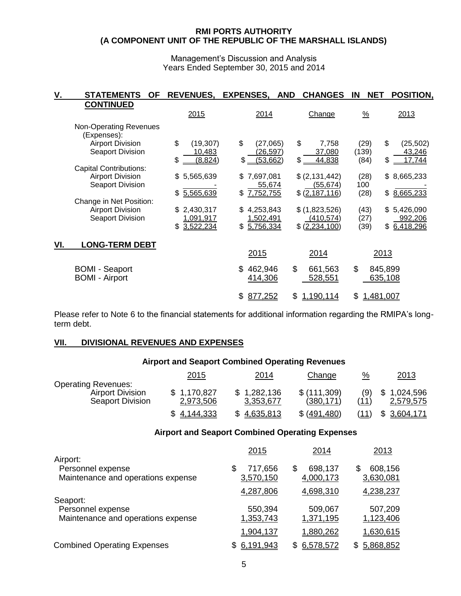Management's Discussion and Analysis Years Ended September 30, 2015 and 2014

| V.  | <b>OF</b><br><b>STATEMENTS</b>                                               | <b>REVENUES,</b>                            | <b>EXPENSES,</b><br><b>AND</b>                  | <b>CHANGES</b>                                 | <b>NET</b><br>IN         | POSITION,                                      |
|-----|------------------------------------------------------------------------------|---------------------------------------------|-------------------------------------------------|------------------------------------------------|--------------------------|------------------------------------------------|
|     | <b>CONTINUED</b>                                                             | 2015                                        | 2014                                            | Change                                         | $\frac{9}{6}$            | 2013                                           |
|     | <b>Non-Operating Revenues</b><br>(Expenses):                                 |                                             |                                                 |                                                |                          |                                                |
|     | <b>Airport Division</b><br>Seaport Division                                  | \$<br>(19, 307)<br>10,483                   | \$<br>(27,065)<br>(26, 597)                     | \$<br>7,758<br>37,080                          | (29)<br>(139)            | \$<br>(25, 502)<br>43,246                      |
|     |                                                                              | \$<br>(8, 824)                              | (53, 662)<br>\$.                                | \$<br>44,838                                   | (84)                     | \$<br>17,744                                   |
|     | <b>Capital Contributions:</b><br><b>Airport Division</b><br>Seaport Division | 5,565,639<br>S.                             | \$7,697,081<br>55,674                           | \$ (2,131,442)<br>(55, 674)                    | (28)<br>100              | \$<br>8,665,233                                |
|     | Change in Net Position:                                                      | \$<br>5,565,639                             | \$7,752,755                                     | \$ (2,187,116)                                 | (28)                     | 8,665,233<br>\$                                |
|     | <b>Airport Division</b><br>Seaport Division                                  | \$2,430,317<br>1,091,917<br>\$<br>3,522,234 | 4,253,843<br>\$<br>1,502,491<br>5,756,334<br>\$ | \$ (1,823,526)<br>(410, 574)<br>\$ (2,234,100) | (43)<br>(27)<br>(39)     | 5,426,090<br>\$.<br>992,206<br>6,418,296<br>\$ |
| VI. | <b>LONG-TERM DEBT</b>                                                        |                                             | 2015                                            | 2014                                           | 2013                     |                                                |
|     | <b>BOMI - Seaport</b><br><b>BOMI - Airport</b>                               |                                             | \$<br>462,946<br>\$<br>414,306                  | 661,563<br>528,551                             | \$<br>845,899<br>635,108 |                                                |
|     |                                                                              |                                             | 877,252<br>\$<br>\$                             | <u>1,190,114</u>                               | 1,481,007<br>\$          |                                                |

Please refer to Note 6 to the financial statements for additional information regarding the RMIPA's longterm debt.

## **VII. DIVISIONAL REVENUES AND EXPENSES**

## **Airport and Seaport Combined Operating Revenues**

|                                                                           | <u> 2015</u>             | 2014                     | Change                    | $\frac{9}{6}$ | 2013                   |
|---------------------------------------------------------------------------|--------------------------|--------------------------|---------------------------|---------------|------------------------|
| <b>Operating Revenues:</b><br><b>Airport Division</b><br>Seaport Division | \$1,170,827<br>2,973,506 | \$1,282,136<br>3,353,677 | \$(111,309)<br>(380, 171) | (11)          | 1,024,596<br>2,579,575 |
|                                                                           | \$4,144,333              | 4,635,813                | \$ (491, 480)             |               | 3,604,171              |

# **Airport and Seaport Combined Operating Expenses**

| Airport:                                                | 2015                      | 2014                      | 2013                      |
|---------------------------------------------------------|---------------------------|---------------------------|---------------------------|
| Personnel expense<br>Maintenance and operations expense | 717,656<br>S<br>3,570,150 | 698,137<br>S<br>4,000,173 | 608,156<br>S<br>3,630,081 |
| Seaport:                                                | 4,287,806                 | 4,698,310                 | 4,238,237                 |
| Personnel expense<br>Maintenance and operations expense | 550,394<br>1,353,743      | 509,067<br>1,371,195      | 507,209<br>1,123,406      |
|                                                         | 1,904,137                 | 1,880,262                 | 1,630,615                 |
| <b>Combined Operating Expenses</b>                      | 6.191.943                 | 6,578,572                 | 5,868,852                 |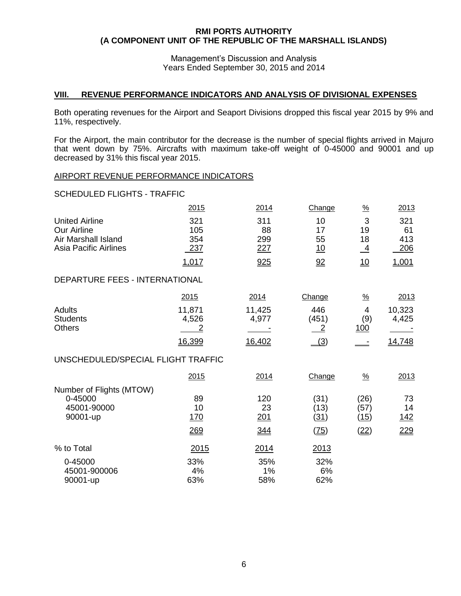Management's Discussion and Analysis Years Ended September 30, 2015 and 2014

## **VIII. REVENUE PERFORMANCE INDICATORS AND ANALYSIS OF DIVISIONAL EXPENSES**

Both operating revenues for the Airport and Seaport Divisions dropped this fiscal year 2015 by 9% and 11%, respectively.

For the Airport, the main contributor for the decrease is the number of special flights arrived in Majuro that went down by 75%. Aircrafts with maximum take-off weight of 0-45000 and 90001 and up decreased by 31% this fiscal year 2015.

## AIRPORT REVENUE PERFORMANCE INDICATORS

## SCHEDULED FLIGHTS - TRAFFIC

|                                                                                                    | 2015                          | 2014                           | Change                                     | $\frac{9}{6}$                   | 2013                           |
|----------------------------------------------------------------------------------------------------|-------------------------------|--------------------------------|--------------------------------------------|---------------------------------|--------------------------------|
| <b>United Airline</b><br><b>Our Airline</b><br>Air Marshall Island<br><b>Asia Pacific Airlines</b> | 321<br>105<br>354<br>237      | 311<br>88<br>299<br>227        | 10<br>17<br>55<br>10                       | 3<br>19<br>18<br>$\overline{4}$ | 321<br>61<br>413<br>206        |
|                                                                                                    | 1,017                         | 925                            | 92                                         | 10                              | 1,001                          |
| DEPARTURE FEES - INTERNATIONAL                                                                     |                               |                                |                                            |                                 |                                |
|                                                                                                    | 2015                          | 2014                           | Change                                     | $\frac{9}{6}$                   | 2013                           |
| <b>Adults</b><br><b>Students</b><br><b>Others</b>                                                  | 11,871<br>4,526<br><u>2</u>   | 11,425<br>4,977                | 446<br>(451)<br>$\overline{2}$             | 4<br>(9)<br><u>100</u>          | 10,323<br>4,425                |
|                                                                                                    | 16,399                        | 16,402                         | $\left(3\right)$                           |                                 | 14,748                         |
| UNSCHEDULED/SPECIAL FLIGHT TRAFFIC                                                                 |                               |                                |                                            |                                 |                                |
|                                                                                                    | 2015                          | 2014                           | Change                                     | $\frac{9}{6}$                   | 2013                           |
| Number of Flights (MTOW)<br>0-45000<br>45001-90000<br>90001-up                                     | 89<br>10<br><u>170</u><br>269 | 120<br>23<br>201<br><u>344</u> | (31)<br>(13)<br><u>(31)</u><br><u>(75)</u> | (26)<br>(57)<br>(15)<br>(22)    | 73<br>14<br><u> 142</u><br>229 |
| % to Total                                                                                         | 2015                          | 2014                           | 2013                                       |                                 |                                |
| 0-45000<br>45001-900006<br>90001-up                                                                | 33%<br>4%<br>63%              | 35%<br>1%<br>58%               | 32%<br>6%<br>62%                           |                                 |                                |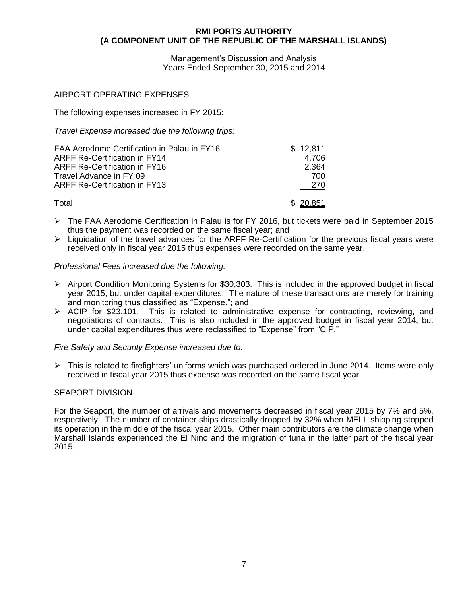Management's Discussion and Analysis Years Ended September 30, 2015 and 2014

# **AIRPORT OPERATING EXPENSES**

The following expenses increased in FY 2015:

*Travel Expense increased due the following trips:*

| FAA Aerodome Certification in Palau in FY16 | \$12,811 |
|---------------------------------------------|----------|
| <b>ARFF Re-Certification in FY14</b>        | 4.706    |
| <b>ARFF Re-Certification in FY16</b>        | 2,364    |
| Travel Advance in FY 09                     | 700      |
| <b>ARFF Re-Certification in FY13</b>        | -270     |
| Total                                       | \$20.851 |

- The FAA Aerodome Certification in Palau is for FY 2016, but tickets were paid in September 2015 thus the payment was recorded on the same fiscal year; and
- Liquidation of the travel advances for the ARFF Re-Certification for the previous fiscal years were received only in fiscal year 2015 thus expenses were recorded on the same year.

## *Professional Fees increased due the following:*

- $\triangleright$  Airport Condition Monitoring Systems for \$30,303. This is included in the approved budget in fiscal year 2015, but under capital expenditures. The nature of these transactions are merely for training and monitoring thus classified as "Expense."; and
- $\triangleright$  ACIP for \$23,101. This is related to administrative expense for contracting, reviewing, and negotiations of contracts. This is also included in the approved budget in fiscal year 2014, but under capital expenditures thus were reclassified to "Expense" from "CIP."

## *Fire Safety and Security Expense increased due to:*

 $\triangleright$  This is related to firefighters' uniforms which was purchased ordered in June 2014. Items were only received in fiscal year 2015 thus expense was recorded on the same fiscal year.

## SEAPORT DIVISION

For the Seaport, the number of arrivals and movements decreased in fiscal year 2015 by 7% and 5%, respectively. The number of container ships drastically dropped by 32% when MELL shipping stopped its operation in the middle of the fiscal year 2015. Other main contributors are the climate change when Marshall Islands experienced the El Nino and the migration of tuna in the latter part of the fiscal year 2015.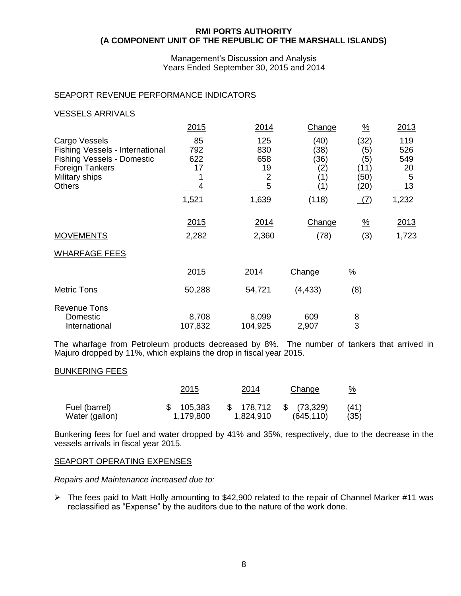Management's Discussion and Analysis Years Ended September 30, 2015 and 2014

## SEAPORT REVENUE PERFORMANCE INDICATORS

## VESSELS ARRIVALS

|                                                                                                                                             | 2015                            | 2014                                                    | Change                                             | $\frac{\%}{\sqrt{2}}$                                        | 2013                                               |
|---------------------------------------------------------------------------------------------------------------------------------------------|---------------------------------|---------------------------------------------------------|----------------------------------------------------|--------------------------------------------------------------|----------------------------------------------------|
| Cargo Vessels<br>Fishing Vessels - International<br><b>Fishing Vessels - Domestic</b><br>Foreign Tankers<br>Military ships<br><b>Others</b> | 85<br>792<br>622<br>17<br>1,521 | 125<br>830<br>658<br>19<br>2<br>$\overline{5}$<br>1,639 | (40)<br>(38)<br>(36)<br>(2)<br>(1)<br>(1)<br>(118) | (32)<br>(5)<br>(5)<br>(11)<br>(50)<br>(20)<br>$(\mathsf{Z})$ | 119<br>526<br>549<br>20<br>5<br><u>13</u><br>1,232 |
|                                                                                                                                             | 2015                            | 2014                                                    | Change                                             | $\frac{\%}{\sqrt{2}}$                                        | 2013                                               |
| <b>MOVEMENTS</b>                                                                                                                            | 2,282                           | 2,360                                                   | (78)                                               | (3)                                                          | 1,723                                              |
| <b>WHARFAGE FEES</b>                                                                                                                        |                                 |                                                         |                                                    |                                                              |                                                    |
|                                                                                                                                             | 2015                            | 2014                                                    | Change                                             | $\frac{\%}{\sqrt{2}}$                                        |                                                    |
| <b>Metric Tons</b>                                                                                                                          | 50,288                          | 54,721                                                  | (4, 433)                                           | (8)                                                          |                                                    |
| <b>Revenue Tons</b><br>Domestic<br>International                                                                                            | 8,708<br>107,832                | 8,099<br>104,925                                        | 609<br>2,907                                       | 8<br>3                                                       |                                                    |

The wharfage from Petroleum products decreased by 8%. The number of tankers that arrived in Majuro dropped by 11%, which explains the drop in fiscal year 2015.

#### BUNKERING FEES

|                | 2015      | 2014       | Change      | <u>%</u> |
|----------------|-----------|------------|-------------|----------|
| Fuel (barrel)  | \$105,383 | \$ 178,712 | \$ (73,329) | (41)     |
| Water (gallon) | 1,179,800 | 1,824,910  | (645, 110)  | (35)     |

Bunkering fees for fuel and water dropped by 41% and 35%, respectively, due to the decrease in the vessels arrivals in fiscal year 2015.

#### **SEAPORT OPERATING EXPENSES**

*Repairs and Maintenance increased due to:*

 $\triangleright$  The fees paid to Matt Holly amounting to \$42,900 related to the repair of Channel Marker #11 was reclassified as "Expense" by the auditors due to the nature of the work done.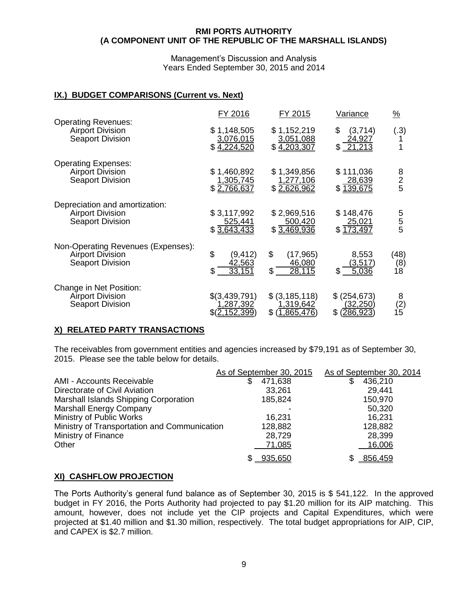Management's Discussion and Analysis Years Ended September 30, 2015 and 2014

# **IX.) BUDGET COMPARISONS (Current vs. Next)**

|                                                                                          | FY 2016                                     | FY 2015                                                   | Variance                                       | $\frac{9}{6}$      |
|------------------------------------------------------------------------------------------|---------------------------------------------|-----------------------------------------------------------|------------------------------------------------|--------------------|
| <b>Operating Revenues:</b><br><b>Airport Division</b><br><b>Seaport Division</b>         | \$1,148,505<br>3,076,015<br>\$4,224,520     | \$1,152,219<br>3,051,088<br>\$4,203,307                   | \$<br>(3,714)<br>24,927<br><u>21,213</u><br>\$ | (.3)               |
| <b>Operating Expenses:</b><br><b>Airport Division</b><br>Seaport Division                | \$1,460,892<br>1,305,745<br>\$2,766,637     | \$1,349,856<br>1,277,106<br>\$2,626,962                   | \$111,036<br>28,639<br>\$139.675               | 8<br>$\frac{2}{5}$ |
| Depreciation and amortization:<br><b>Airport Division</b><br><b>Seaport Division</b>     | \$3,117,992<br>525,441<br>\$3.643,433       | \$2,969,516<br>500,420<br>\$3,469,936                     | \$148,476<br>25,021<br>\$173,497               | 5<br>5<br>5        |
| Non-Operating Revenues (Expenses):<br><b>Airport Division</b><br><b>Seaport Division</b> | \$<br>(9, 412)<br>42,563<br>\$<br>33,151    | \$<br>(17,965)<br>46,080<br>\$<br>28,115                  | 8,553<br><u>(3,517)</u><br>\$<br>5,036         | (48)<br>(8)<br>18  |
| Change in Net Position:<br><b>Airport Division</b><br><b>Seaport Division</b>            | \$(3,439,791)<br>1,287,392<br>\$(2,152,399) | \$ (3, 185, 118)<br>1,319,642<br><u>(1.865.476)</u><br>\$ | \$ (254, 673)<br>(32,250)<br>(286, 923)<br>\$  | 8<br>(2)<br>15     |

# **X) RELATED PARTY TRANSACTIONS**

The receivables from government entities and agencies increased by \$79,191 as of September 30, 2015. Please see the table below for details.

|                                              | As of September 30, 2015 | As of September 30, 2014 |
|----------------------------------------------|--------------------------|--------------------------|
| <b>AMI - Accounts Receivable</b>             | 471,638                  | \$.<br>436,210           |
| Directorate of Civil Aviation                | 33,261                   | 29,441                   |
| Marshall Islands Shipping Corporation        | 185,824                  | 150,970                  |
| <b>Marshall Energy Company</b>               |                          | 50,320                   |
| Ministry of Public Works                     | 16,231                   | 16,231                   |
| Ministry of Transportation and Communication | 128,882                  | 128,882                  |
| Ministry of Finance                          | 28,729                   | 28,399                   |
| Other                                        | 71,085                   | 16,006                   |
|                                              | \$ 935.650               | 856.459                  |

# **XI) CASHFLOW PROJECTION**

The Ports Authority's general fund balance as of September 30, 2015 is \$ 541,122. In the approved budget in FY 2016, the Ports Authority had projected to pay \$1.20 million for its AIP matching. This amount, however, does not include yet the CIP projects and Capital Expenditures, which were projected at \$1.40 million and \$1.30 million, respectively. The total budget appropriations for AIP, CIP, and CAPEX is \$2.7 million.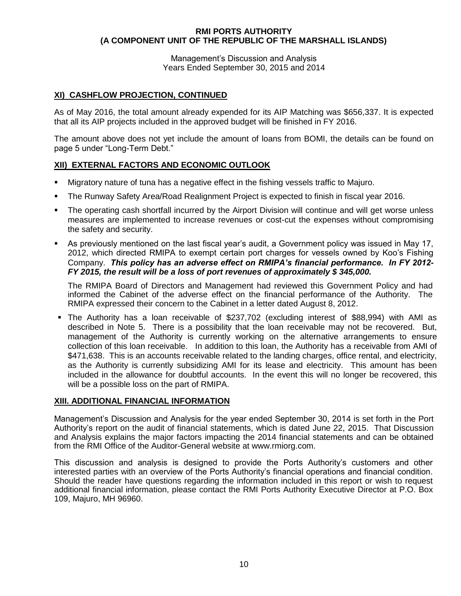Management's Discussion and Analysis Years Ended September 30, 2015 and 2014

# **XI) CASHFLOW PROJECTION, CONTINUED**

As of May 2016, the total amount already expended for its AIP Matching was \$656,337. It is expected that all its AIP projects included in the approved budget will be finished in FY 2016.

The amount above does not yet include the amount of loans from BOMI, the details can be found on page 5 under "Long-Term Debt."

# **XII) EXTERNAL FACTORS AND ECONOMIC OUTLOOK**

- Migratory nature of tuna has a negative effect in the fishing vessels traffic to Majuro.
- The Runway Safety Area/Road Realignment Project is expected to finish in fiscal year 2016.
- The operating cash shortfall incurred by the Airport Division will continue and will get worse unless measures are implemented to increase revenues or cost-cut the expenses without compromising the safety and security.
- As previously mentioned on the last fiscal year's audit, a Government policy was issued in May 17, 2012, which directed RMIPA to exempt certain port charges for vessels owned by Koo's Fishing Company. *This policy has an adverse effect on RMIPA's financial performance. In FY 2012- FY 2015, the result will be a loss of port revenues of approximately \$ 345,000.*

The RMIPA Board of Directors and Management had reviewed this Government Policy and had informed the Cabinet of the adverse effect on the financial performance of the Authority. The RMIPA expressed their concern to the Cabinet in a letter dated August 8, 2012.

 The Authority has a loan receivable of \$237,702 (excluding interest of \$88,994) with AMI as described in Note 5. There is a possibility that the loan receivable may not be recovered. But, management of the Authority is currently working on the alternative arrangements to ensure collection of this loan receivable. In addition to this loan, the Authority has a receivable from AMI of \$471,638. This is an accounts receivable related to the landing charges, office rental, and electricity, as the Authority is currently subsidizing AMI for its lease and electricity. This amount has been included in the allowance for doubtful accounts. In the event this will no longer be recovered, this will be a possible loss on the part of RMIPA.

# **XIII. ADDITIONAL FINANCIAL INFORMATION**

Management's Discussion and Analysis for the year ended September 30, 2014 is set forth in the Port Authority's report on the audit of financial statements, which is dated June 22, 2015. That Discussion and Analysis explains the major factors impacting the 2014 financial statements and can be obtained from the RMI Office of the Auditor-General website at www.rmiorg.com.

This discussion and analysis is designed to provide the Ports Authority's customers and other interested parties with an overview of the Ports Authority's financial operations and financial condition. Should the reader have questions regarding the information included in this report or wish to request additional financial information, please contact the RMI Ports Authority Executive Director at P.O. Box 109, Majuro, MH 96960.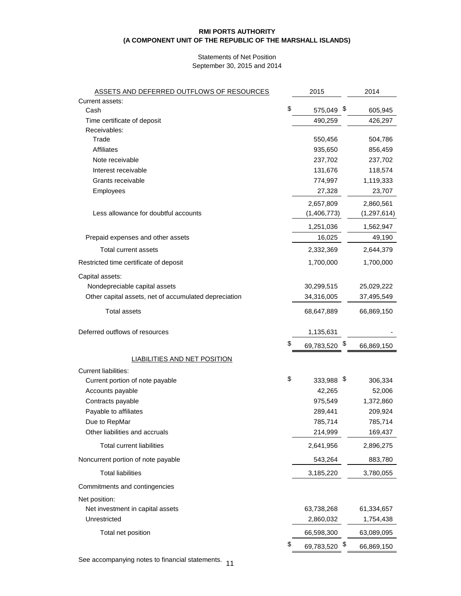#### Statements of Net Position September 30, 2015 and 2014

| ASSETS AND DEFERRED OUTFLOWS OF RESOURCES             | 2015                |     | 2014          |
|-------------------------------------------------------|---------------------|-----|---------------|
| Current assets:                                       |                     |     |               |
| Cash                                                  | \$<br>575,049       | -\$ | 605,945       |
| Time certificate of deposit                           | 490,259             |     | 426,297       |
| Receivables:                                          |                     |     |               |
| Trade                                                 | 550,456             |     | 504,786       |
| Affiliates                                            | 935,650             |     | 856,459       |
| Note receivable                                       | 237,702             |     | 237,702       |
| Interest receivable                                   | 131,676             |     | 118,574       |
| Grants receivable                                     | 774,997             |     | 1,119,333     |
| Employees                                             | 27,328              |     | 23,707        |
|                                                       | 2,657,809           |     | 2,860,561     |
| Less allowance for doubtful accounts                  | (1,406,773)         |     | (1, 297, 614) |
|                                                       | 1,251,036           |     | 1,562,947     |
| Prepaid expenses and other assets                     | 16,025              |     | 49,190        |
| Total current assets                                  | 2,332,369           |     | 2,644,379     |
| Restricted time certificate of deposit                | 1,700,000           |     | 1,700,000     |
| Capital assets:                                       |                     |     |               |
| Nondepreciable capital assets                         | 30,299,515          |     | 25,029,222    |
| Other capital assets, net of accumulated depreciation | 34,316,005          |     | 37,495,549    |
| <b>Total assets</b>                                   | 68,647,889          |     | 66,869,150    |
| Deferred outflows of resources                        | 1,135,631           |     |               |
|                                                       | \$<br>69,783,520    | \$  | 66,869,150    |
| <b>LIABILITIES AND NET POSITION</b>                   |                     |     |               |
| <b>Current liabilities:</b>                           |                     |     |               |
| Current portion of note payable                       | \$<br>$333,988$ \$  |     | 306,334       |
| Accounts payable                                      | 42,265              |     | 52,006        |
| Contracts payable                                     | 975,549             |     | 1,372,860     |
| Payable to affiliates                                 | 289,441             |     | 209,924       |
| Due to RepMar                                         | 785,714             |     | 785,714       |
| Other liabilities and accruals                        | 214,999             |     | 169,437       |
| <b>Total current liabilities</b>                      | 2,641,956           |     | 2,896,275     |
| Noncurrent portion of note payable                    | 543,264             |     | 883,780       |
| <b>Total liabilities</b>                              | 3,185,220           |     | 3,780,055     |
| Commitments and contingencies                         |                     |     |               |
| Net position:                                         |                     |     |               |
| Net investment in capital assets                      | 63,738,268          |     | 61,334,657    |
| Unrestricted                                          | 2,860,032           |     | 1,754,438     |
| Total net position                                    | 66,598,300          |     | 63,089,095    |
|                                                       | \$<br>69,783,520 \$ |     | 66,869,150    |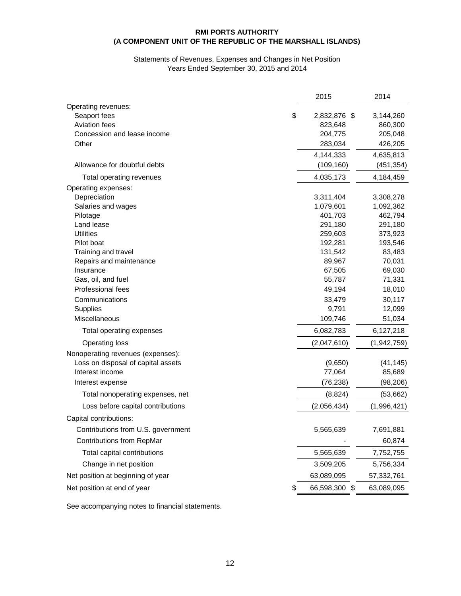## Statements of Revenues, Expenses and Changes in Net Position Years Ended September 30, 2015 and 2014

|                                                                         | 2015              | 2014             |
|-------------------------------------------------------------------------|-------------------|------------------|
| Operating revenues:                                                     |                   |                  |
| \$<br>Seaport fees                                                      | 2,832,876 \$      | 3,144,260        |
| <b>Aviation fees</b>                                                    | 823,648           | 860,300          |
| Concession and lease income                                             | 204,775           | 205,048          |
| Other                                                                   | 283,034           | 426,205          |
|                                                                         | 4,144,333         | 4,635,813        |
| Allowance for doubtful debts                                            | (109, 160)        | (451, 354)       |
| Total operating revenues                                                | 4,035,173         | 4,184,459        |
| Operating expenses:                                                     |                   |                  |
| Depreciation                                                            | 3,311,404         | 3,308,278        |
| Salaries and wages                                                      | 1,079,601         | 1,092,362        |
| Pilotage                                                                | 401,703           | 462,794          |
| Land lease                                                              | 291,180           | 291,180          |
| <b>Utilities</b>                                                        | 259,603           | 373,923          |
| Pilot boat                                                              | 192,281           | 193,546          |
| Training and travel                                                     | 131,542<br>89,967 | 83,483           |
| Repairs and maintenance<br>Insurance                                    | 67,505            | 70,031<br>69,030 |
| Gas, oil, and fuel                                                      | 55,787            | 71,331           |
| <b>Professional fees</b>                                                | 49,194            | 18,010           |
| Communications                                                          | 33,479            | 30,117           |
| Supplies                                                                | 9,791             | 12,099           |
| Miscellaneous                                                           | 109,746           | 51,034           |
| Total operating expenses                                                | 6,082,783         | 6,127,218        |
| <b>Operating loss</b>                                                   | (2,047,610)       | (1,942,759)      |
|                                                                         |                   |                  |
| Nonoperating revenues (expenses):<br>Loss on disposal of capital assets | (9,650)           | (41, 145)        |
| Interest income                                                         | 77,064            | 85,689           |
| Interest expense                                                        | (76, 238)         | (98, 206)        |
| Total nonoperating expenses, net                                        | (8, 824)          | (53,662)         |
| Loss before capital contributions                                       | (2,056,434)       | (1,996,421)      |
| Capital contributions:                                                  |                   |                  |
| Contributions from U.S. government                                      | 5,565,639         | 7,691,881        |
| Contributions from RepMar                                               |                   | 60,874           |
| Total capital contributions                                             | 5,565,639         | 7,752,755        |
| Change in net position                                                  | 3,509,205         | 5,756,334        |
| Net position at beginning of year                                       | 63,089,095        | 57,332,761       |
| Net position at end of year<br>\$                                       | 66,598,300 \$     | 63,089,095       |

See accompanying notes to financial statements.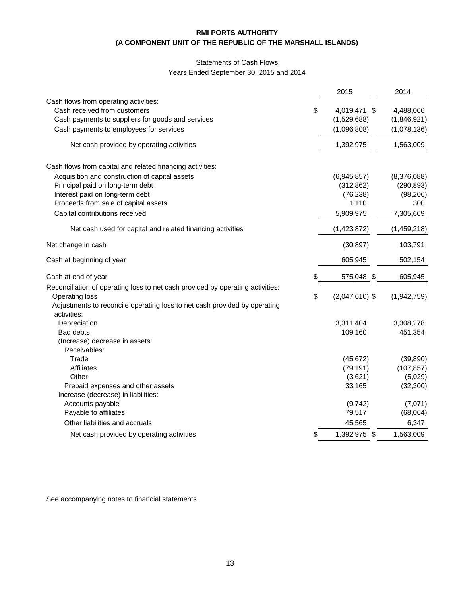# Statements of Cash Flows

Years Ended September 30, 2015 and 2014

|                                                                                                                                                                                                     | 2015                                                         | 2014                                                       |
|-----------------------------------------------------------------------------------------------------------------------------------------------------------------------------------------------------|--------------------------------------------------------------|------------------------------------------------------------|
| Cash flows from operating activities:<br>Cash received from customers<br>Cash payments to suppliers for goods and services<br>Cash payments to employees for services                               | \$<br>4,019,471 \$<br>(1,529,688)<br>(1,096,808)             | 4,488,066<br>(1,846,921)<br>(1,078,136)                    |
| Net cash provided by operating activities                                                                                                                                                           | 1,392,975                                                    | 1,563,009                                                  |
| Cash flows from capital and related financing activities:                                                                                                                                           |                                                              |                                                            |
| Acquisition and construction of capital assets<br>Principal paid on long-term debt<br>Interest paid on long-term debt<br>Proceeds from sale of capital assets<br>Capital contributions received     | (6,945,857)<br>(312, 862)<br>(76, 238)<br>1,110<br>5,909,975 | (8,376,088)<br>(290, 893)<br>(98, 206)<br>300<br>7,305,669 |
| Net cash used for capital and related financing activities                                                                                                                                          | (1,423,872)                                                  | (1,459,218)                                                |
| Net change in cash                                                                                                                                                                                  | (30, 897)                                                    | 103,791                                                    |
| Cash at beginning of year                                                                                                                                                                           | 605,945                                                      | 502,154                                                    |
| Cash at end of year                                                                                                                                                                                 | \$<br>575,048 \$                                             | 605,945                                                    |
| Reconciliation of operating loss to net cash provided by operating activities:<br><b>Operating loss</b><br>Adjustments to reconcile operating loss to net cash provided by operating<br>activities: | \$<br>$(2,047,610)$ \$                                       | (1,942,759)                                                |
| Depreciation<br><b>Bad debts</b><br>(Increase) decrease in assets:<br>Receivables:                                                                                                                  | 3,311,404<br>109,160                                         | 3,308,278<br>451,354                                       |
| Trade<br><b>Affiliates</b><br>Other<br>Prepaid expenses and other assets<br>Increase (decrease) in liabilities:                                                                                     | (45, 672)<br>(79, 191)<br>(3,621)<br>33,165                  | (39, 890)<br>(107, 857)<br>(5,029)<br>(32, 300)            |
| Accounts payable<br>Payable to affiliates<br>Other liabilities and accruals                                                                                                                         | (9,742)<br>79,517<br>45,565                                  | (7,071)<br>(68,064)<br>6,347                               |
| Net cash provided by operating activities                                                                                                                                                           | \$<br>1,392,975 \$                                           | 1,563,009                                                  |

See accompanying notes to financial statements.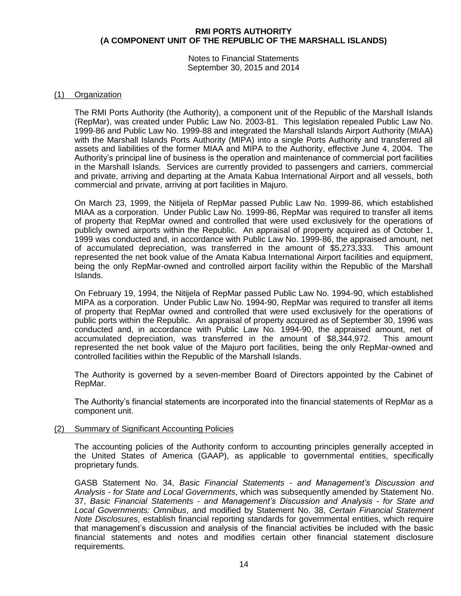Notes to Financial Statements September 30, 2015 and 2014

#### (1) Organization

The RMI Ports Authority (the Authority), a component unit of the Republic of the Marshall Islands (RepMar), was created under Public Law No. 2003-81. This legislation repealed Public Law No. 1999-86 and Public Law No. 1999-88 and integrated the Marshall Islands Airport Authority (MIAA) with the Marshall Islands Ports Authority (MIPA) into a single Ports Authority and transferred all assets and liabilities of the former MIAA and MIPA to the Authority, effective June 4, 2004. The Authority's principal line of business is the operation and maintenance of commercial port facilities in the Marshall Islands. Services are currently provided to passengers and carriers, commercial and private, arriving and departing at the Amata Kabua International Airport and all vessels, both commercial and private, arriving at port facilities in Majuro.

On March 23, 1999, the Nitijela of RepMar passed Public Law No. 1999-86, which established MIAA as a corporation. Under Public Law No. 1999-86, RepMar was required to transfer all items of property that RepMar owned and controlled that were used exclusively for the operations of publicly owned airports within the Republic. An appraisal of property acquired as of October 1, 1999 was conducted and, in accordance with Public Law No. 1999-86, the appraised amount, net of accumulated depreciation, was transferred in the amount of \$5,273,333. This amount represented the net book value of the Amata Kabua International Airport facilities and equipment, being the only RepMar-owned and controlled airport facility within the Republic of the Marshall Islands.

On February 19, 1994, the Nitijela of RepMar passed Public Law No. 1994-90, which established MIPA as a corporation. Under Public Law No. 1994-90, RepMar was required to transfer all items of property that RepMar owned and controlled that were used exclusively for the operations of public ports within the Republic. An appraisal of property acquired as of September 30, 1996 was conducted and, in accordance with Public Law No. 1994-90, the appraised amount, net of accumulated depreciation, was transferred in the amount of \$8,344,972. This amount represented the net book value of the Majuro port facilities, being the only RepMar-owned and controlled facilities within the Republic of the Marshall Islands.

The Authority is governed by a seven-member Board of Directors appointed by the Cabinet of RepMar.

The Authority's financial statements are incorporated into the financial statements of RepMar as a component unit.

(2) Summary of Significant Accounting Policies

The accounting policies of the Authority conform to accounting principles generally accepted in the United States of America (GAAP), as applicable to governmental entities, specifically proprietary funds.

GASB Statement No. 34, *Basic Financial Statements - and Management's Discussion and Analysis - for State and Local Governments*, which was subsequently amended by Statement No. 37, *Basic Financial Statements - and Management's Discussion and Analysis - for State and Local Governments: Omnibus*, and modified by Statement No. 38, *Certain Financial Statement Note Disclosures*, establish financial reporting standards for governmental entities, which require that management's discussion and analysis of the financial activities be included with the basic financial statements and notes and modifies certain other financial statement disclosure requirements.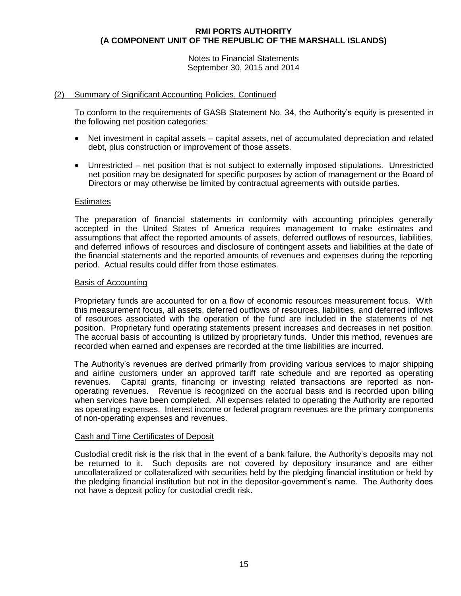Notes to Financial Statements September 30, 2015 and 2014

## (2) Summary of Significant Accounting Policies, Continued

To conform to the requirements of GASB Statement No. 34, the Authority's equity is presented in the following net position categories:

- Net investment in capital assets capital assets, net of accumulated depreciation and related debt, plus construction or improvement of those assets.
- Unrestricted net position that is not subject to externally imposed stipulations. Unrestricted net position may be designated for specific purposes by action of management or the Board of Directors or may otherwise be limited by contractual agreements with outside parties.

## **Estimates**

The preparation of financial statements in conformity with accounting principles generally accepted in the United States of America requires management to make estimates and assumptions that affect the reported amounts of assets, deferred outflows of resources, liabilities, and deferred inflows of resources and disclosure of contingent assets and liabilities at the date of the financial statements and the reported amounts of revenues and expenses during the reporting period. Actual results could differ from those estimates.

#### Basis of Accounting

Proprietary funds are accounted for on a flow of economic resources measurement focus. With this measurement focus, all assets, deferred outflows of resources, liabilities, and deferred inflows of resources associated with the operation of the fund are included in the statements of net position. Proprietary fund operating statements present increases and decreases in net position. The accrual basis of accounting is utilized by proprietary funds. Under this method, revenues are recorded when earned and expenses are recorded at the time liabilities are incurred.

The Authority's revenues are derived primarily from providing various services to major shipping and airline customers under an approved tariff rate schedule and are reported as operating revenues. Capital grants, financing or investing related transactions are reported as nonoperating revenues. Revenue is recognized on the accrual basis and is recorded upon billing when services have been completed. All expenses related to operating the Authority are reported as operating expenses. Interest income or federal program revenues are the primary components of non-operating expenses and revenues.

## Cash and Time Certificates of Deposit

Custodial credit risk is the risk that in the event of a bank failure, the Authority's deposits may not be returned to it. Such deposits are not covered by depository insurance and are either uncollateralized or collateralized with securities held by the pledging financial institution or held by the pledging financial institution but not in the depositor-government's name. The Authority does not have a deposit policy for custodial credit risk.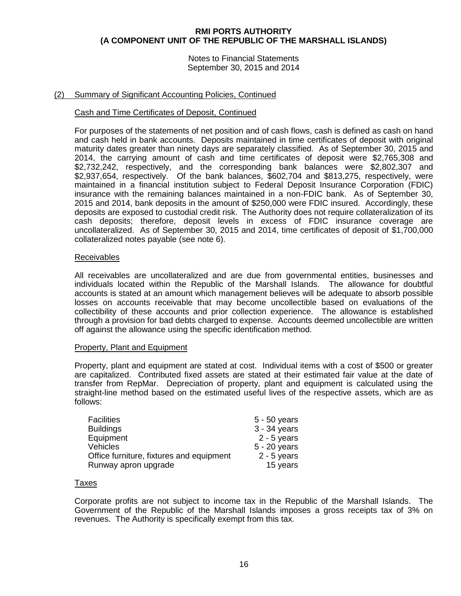Notes to Financial Statements September 30, 2015 and 2014

## (2) Summary of Significant Accounting Policies, Continued

## Cash and Time Certificates of Deposit, Continued

For purposes of the statements of net position and of cash flows, cash is defined as cash on hand and cash held in bank accounts. Deposits maintained in time certificates of deposit with original maturity dates greater than ninety days are separately classified. As of September 30, 2015 and 2014, the carrying amount of cash and time certificates of deposit were \$2,765,308 and \$2,732,242, respectively, and the corresponding bank balances were \$2,802,307 and \$2,937,654, respectively. Of the bank balances, \$602,704 and \$813,275, respectively, were maintained in a financial institution subject to Federal Deposit Insurance Corporation (FDIC) insurance with the remaining balances maintained in a non-FDIC bank. As of September 30, 2015 and 2014, bank deposits in the amount of \$250,000 were FDIC insured. Accordingly, these deposits are exposed to custodial credit risk. The Authority does not require collateralization of its cash deposits; therefore, deposit levels in excess of FDIC insurance coverage are uncollateralized. As of September 30, 2015 and 2014, time certificates of deposit of \$1,700,000 collateralized notes payable (see note 6).

#### Receivables

All receivables are uncollateralized and are due from governmental entities, businesses and individuals located within the Republic of the Marshall Islands. The allowance for doubtful accounts is stated at an amount which management believes will be adequate to absorb possible losses on accounts receivable that may become uncollectible based on evaluations of the collectibility of these accounts and prior collection experience. The allowance is established through a provision for bad debts charged to expense. Accounts deemed uncollectible are written off against the allowance using the specific identification method.

#### Property, Plant and Equipment

Property, plant and equipment are stated at cost. Individual items with a cost of \$500 or greater are capitalized. Contributed fixed assets are stated at their estimated fair value at the date of transfer from RepMar. Depreciation of property, plant and equipment is calculated using the straight-line method based on the estimated useful lives of the respective assets, which are as follows:

| <b>Facilities</b>                        | $5 - 50$ years |
|------------------------------------------|----------------|
| <b>Buildings</b>                         | 3 - 34 years   |
| Equipment                                | $2 - 5$ years  |
| Vehicles                                 | 5 - 20 years   |
| Office furniture, fixtures and equipment | $2 - 5$ years  |
| Runway apron upgrade                     | 15 years       |

## Taxes

Corporate profits are not subject to income tax in the Republic of the Marshall Islands. The Government of the Republic of the Marshall Islands imposes a gross receipts tax of 3% on revenues. The Authority is specifically exempt from this tax.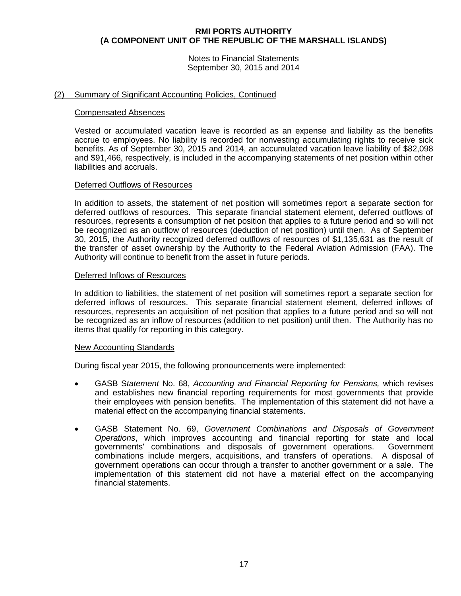Notes to Financial Statements September 30, 2015 and 2014

## (2) Summary of Significant Accounting Policies, Continued

## Compensated Absences

Vested or accumulated vacation leave is recorded as an expense and liability as the benefits accrue to employees. No liability is recorded for nonvesting accumulating rights to receive sick benefits. As of September 30, 2015 and 2014, an accumulated vacation leave liability of \$82,098 and \$91,466, respectively, is included in the accompanying statements of net position within other liabilities and accruals.

## Deferred Outflows of Resources

In addition to assets, the statement of net position will sometimes report a separate section for deferred outflows of resources. This separate financial statement element, deferred outflows of resources, represents a consumption of net position that applies to a future period and so will not be recognized as an outflow of resources (deduction of net position) until then. As of September 30, 2015, the Authority recognized deferred outflows of resources of \$1,135,631 as the result of the transfer of asset ownership by the Authority to the Federal Aviation Admission (FAA). The Authority will continue to benefit from the asset in future periods.

## Deferred Inflows of Resources

In addition to liabilities, the statement of net position will sometimes report a separate section for deferred inflows of resources. This separate financial statement element, deferred inflows of resources, represents an acquisition of net position that applies to a future period and so will not be recognized as an inflow of resources (addition to net position) until then. The Authority has no items that qualify for reporting in this category.

## New Accounting Standards

During fiscal year 2015, the following pronouncements were implemented:

- GASB S*tatement* No. 68, *Accounting and Financial Reporting for Pensions,* which revises and establishes new financial reporting requirements for most governments that provide their employees with pension benefits. The implementation of this statement did not have a material effect on the accompanying financial statements.
- GASB Statement No. 69, *Government Combinations and Disposals of Government Operations*, which improves accounting and financial reporting for state and local governments' combinations and disposals of government operations. Government combinations include mergers, acquisitions, and transfers of operations. A disposal of government operations can occur through a transfer to another government or a sale. The implementation of this statement did not have a material effect on the accompanying financial statements.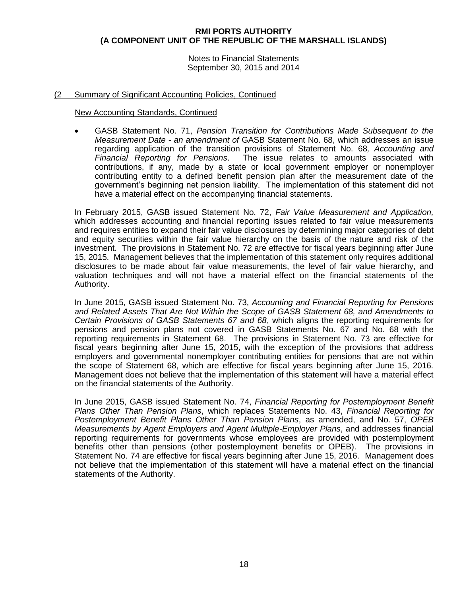Notes to Financial Statements September 30, 2015 and 2014

## (2 Summary of Significant Accounting Policies, Continued

## New Accounting Standards, Continued

 GASB Statement No. 71, *Pension Transition for Contributions Made Subsequent to the Measurement Date - an amendment of* GASB Statement No. 68, which addresses an issue regarding application of the transition provisions of Statement No. 68*, Accounting and Financial Reporting for Pensions*. The issue relates to amounts associated with contributions, if any, made by a state or local government employer or nonemployer contributing entity to a defined benefit pension plan after the measurement date of the government's beginning net pension liability. The implementation of this statement did not have a material effect on the accompanying financial statements.

In February 2015, GASB issued Statement No. 72, *Fair Value Measurement and Application,*  which addresses accounting and financial reporting issues related to fair value measurements and requires entities to expand their fair value disclosures by determining major categories of debt and equity securities within the fair value hierarchy on the basis of the nature and risk of the investment. The provisions in Statement No. 72 are effective for fiscal years beginning after June 15, 2015. Management believes that the implementation of this statement only requires additional disclosures to be made about fair value measurements, the level of fair value hierarchy, and valuation techniques and will not have a material effect on the financial statements of the Authority.

In June 2015, GASB issued Statement No. 73, *Accounting and Financial Reporting for Pensions and Related Assets That Are Not Within the Scope of GASB Statement 68, and Amendments to Certain Provisions of GASB Statements 67 and 68*, which aligns the reporting requirements for pensions and pension plans not covered in GASB Statements No. 67 and No. 68 with the reporting requirements in Statement 68. The provisions in Statement No. 73 are effective for fiscal years beginning after June 15, 2015, with the exception of the provisions that address employers and governmental nonemployer contributing entities for pensions that are not within the scope of Statement 68, which are effective for fiscal years beginning after June 15, 2016. Management does not believe that the implementation of this statement will have a material effect on the financial statements of the Authority.

In June 2015, GASB issued Statement No. 74, *Financial Reporting for Postemployment Benefit Plans Other Than Pension Plans*, which replaces Statements No. 43, *Financial Reporting for Postemployment Benefit Plans Other Than Pension Plans*, as amended, and No. 57, *OPEB Measurements by Agent Employers and Agent Multiple-Employer Plans*, and addresses financial reporting requirements for governments whose employees are provided with postemployment benefits other than pensions (other postemployment benefits or OPEB). The provisions in Statement No. 74 are effective for fiscal years beginning after June 15, 2016. Management does not believe that the implementation of this statement will have a material effect on the financial statements of the Authority.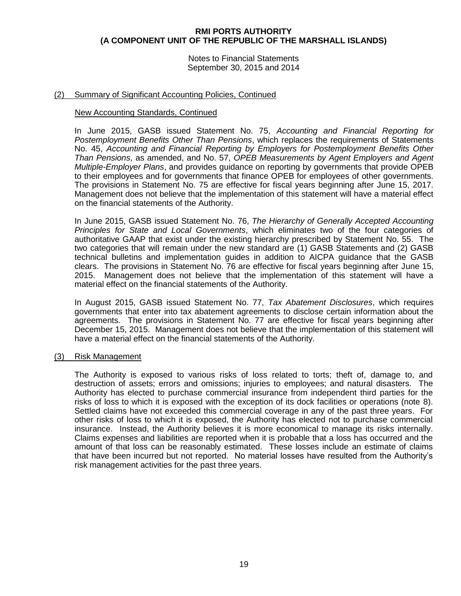Notes to Financial Statements September 30, 2015 and 2014

## (2) Summary of Significant Accounting Policies, Continued

## New Accounting Standards, Continued

In June 2015, GASB issued Statement No. 75, *Accounting and Financial Reporting for Postemployment Benefits Other Than Pensions*, which replaces the requirements of Statements No. 45, *Accounting and Financial Reporting by Employers for Postemployment Benefits Other Than Pensions*, as amended, and No. 57, *OPEB Measurements by Agent Employers and Agent Multiple-Employer Plans*, and provides guidance on reporting by governments that provide OPEB to their employees and for governments that finance OPEB for employees of other governments. The provisions in Statement No. 75 are effective for fiscal years beginning after June 15, 2017. Management does not believe that the implementation of this statement will have a material effect on the financial statements of the Authority.

In June 2015, GASB issued Statement No. 76, *The Hierarchy of Generally Accepted Accounting Principles for State and Local Governments*, which eliminates two of the four categories of authoritative GAAP that exist under the existing hierarchy prescribed by Statement No. 55. The two categories that will remain under the new standard are (1) GASB Statements and (2) GASB technical bulletins and implementation guides in addition to AICPA guidance that the GASB clears. The provisions in Statement No. 76 are effective for fiscal years beginning after June 15, 2015. Management does not believe that the implementation of this statement will have a material effect on the financial statements of the Authority.

In August 2015, GASB issued Statement No. 77, *Tax Abatement Disclosures*, which requires governments that enter into tax abatement agreements to disclose certain information about the agreements. The provisions in Statement No. 77 are effective for fiscal years beginning after December 15, 2015. Management does not believe that the implementation of this statement will have a material effect on the financial statements of the Authority.

#### (3) Risk Management

The Authority is exposed to various risks of loss related to torts; theft of, damage to, and destruction of assets; errors and omissions; injuries to employees; and natural disasters. The Authority has elected to purchase commercial insurance from independent third parties for the risks of loss to which it is exposed with the exception of its dock facilities or operations (note 8). Settled claims have not exceeded this commercial coverage in any of the past three years. For other risks of loss to which it is exposed, the Authority has elected not to purchase commercial insurance. Instead, the Authority believes it is more economical to manage its risks internally. Claims expenses and liabilities are reported when it is probable that a loss has occurred and the amount of that loss can be reasonably estimated. These losses include an estimate of claims that have been incurred but not reported. No material losses have resulted from the Authority's risk management activities for the past three years.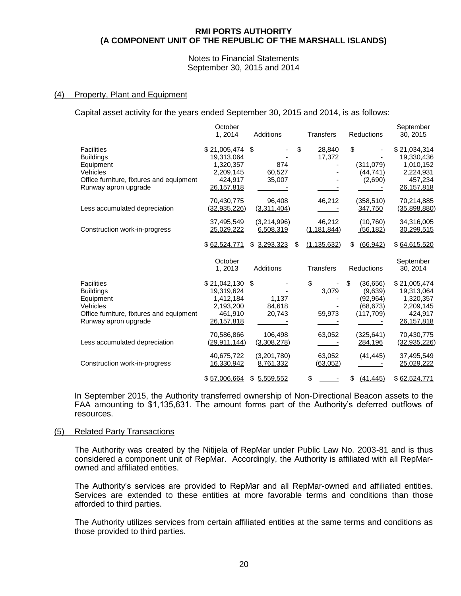Notes to Financial Statements September 30, 2015 and 2014

## (4) Property, Plant and Equipment

Capital asset activity for the years ended September 30, 2015 and 2014, is as follows:

|                                                                                                                                    | October<br>1, 2014                                                            | Additions                       | <b>Transfers</b>                   | Reductions                                                         | September<br>30, 2015                                                         |
|------------------------------------------------------------------------------------------------------------------------------------|-------------------------------------------------------------------------------|---------------------------------|------------------------------------|--------------------------------------------------------------------|-------------------------------------------------------------------------------|
| <b>Facilities</b><br><b>Buildings</b><br>Equipment<br>Vehicles<br>Office furniture, fixtures and equipment<br>Runway apron upgrade | \$21,005,474<br>19,313,064<br>1,320,357<br>2,209,145<br>424,917<br>26,157,818 | \$<br>874<br>60,527<br>35,007   | \$<br>28,840<br>17,372             | \$<br>(311,079)<br>(44, 741)<br>(2,690)                            | \$21,034,314<br>19,330,436<br>1,010,152<br>2,224,931<br>457,234<br>26,157,818 |
| Less accumulated depreciation                                                                                                      | 70,430,775<br>(32, 935, 226)                                                  | 96.408<br>(3,311,404)           | 46,212                             | (358, 510)<br>347,750                                              | 70,214,885<br>(35,898,880)                                                    |
| Construction work-in-progress                                                                                                      | 37,495,549<br>25,029,222                                                      | (3,214,996)<br>6,508,319        | 46.212<br>(1, 181, 844)            | (10,760)<br>(56, 182)                                              | 34,316,005<br>30,299,515                                                      |
|                                                                                                                                    | \$62,524,771                                                                  | 3,293,323<br>\$.                | \$<br>(1, 135, 632)                | \$<br>(66, 942)                                                    | \$64,615,520                                                                  |
|                                                                                                                                    | October<br>1,2013                                                             | <b>Additions</b>                | <b>Transfers</b>                   | <b>Reductions</b>                                                  | September<br>30, 2014                                                         |
| <b>Facilities</b><br><b>Buildings</b><br>Equipment<br>Vehicles<br>Office furniture, fixtures and equipment<br>Runway apron upgrade | \$21,042,130<br>19,319,624<br>1,412,184<br>2,193,200<br>461,910<br>26,157,818 | \$<br>1,137<br>84,618<br>20,743 | \$<br>3,079<br>59,973              | \$<br>(36, 656)<br>(9,639)<br>(92, 964)<br>(68, 673)<br>(117, 709) | \$21,005,474<br>19,313,064<br>1,320,357<br>2,209,145<br>424,917<br>26,157,818 |
| Less accumulated depreciation                                                                                                      | 70,586,866<br>(29,911,144)                                                    | 106,498<br>(3,308,278)          | 63,052<br><b>Contract Contract</b> | (325, 641)<br>284,196                                              | 70,430,775<br>(32, 935, 226)                                                  |
| Construction work-in-progress                                                                                                      | 40,675,722<br>16,330,942                                                      | (3,201,780)<br>8,761,332        | 63,052<br>(63,052)                 | (41, 445)                                                          | 37,495,549<br>25,029,222                                                      |
|                                                                                                                                    | \$57,006,664                                                                  | 5,559,552<br>\$                 | \$                                 | (41, 445)<br>\$                                                    | \$62,524,771                                                                  |

In September 2015, the Authority transferred ownership of Non-Directional Beacon assets to the FAA amounting to \$1,135,631. The amount forms part of the Authority's deferred outflows of resources.

#### (5) Related Party Transactions

The Authority was created by the Nitijela of RepMar under Public Law No. 2003-81 and is thus considered a component unit of RepMar. Accordingly, the Authority is affiliated with all RepMarowned and affiliated entities.

The Authority's services are provided to RepMar and all RepMar-owned and affiliated entities. Services are extended to these entities at more favorable terms and conditions than those afforded to third parties.

The Authority utilizes services from certain affiliated entities at the same terms and conditions as those provided to third parties.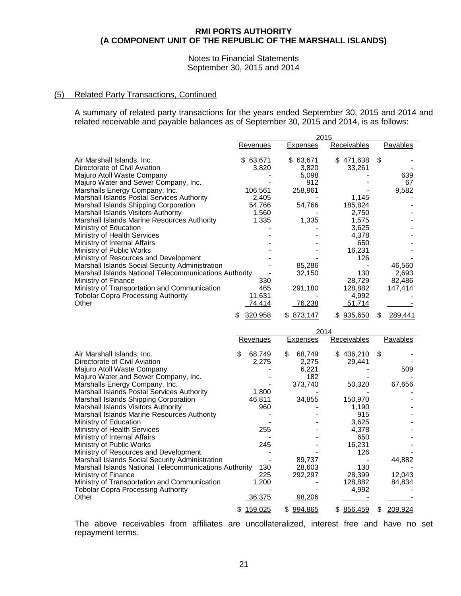## Notes to Financial Statements September 30, 2015 and 2014

#### (5) Related Party Transactions, Continued

A summary of related party transactions for the years ended September 30, 2015 and 2014 and related receivable and payable balances as of September 30, 2015 and 2014, is as follows:

|                                                        | 2015     |                 |                    |                 |
|--------------------------------------------------------|----------|-----------------|--------------------|-----------------|
|                                                        | Revenues | <b>Expenses</b> | <b>Receivables</b> | <b>Payables</b> |
| Air Marshall Islands, Inc.                             | \$63,671 | \$63,671        | \$471,638          | - \$            |
| Directorate of Civil Aviation                          | 3,820    | 3,820           | 33,261             |                 |
| Majuro Atoll Waste Company                             |          | 5,098           |                    | 639             |
| Majuro Water and Sewer Company, Inc.                   |          | 912             |                    | 67              |
| Marshalls Energy Company, Inc.                         | 106,561  | 258,961         |                    | 9,582           |
| Marshall Islands Postal Services Authority             | 2,405    |                 | 1,145              |                 |
| Marshall Islands Shipping Corporation                  | 54,766   | 54,766          | 185,824            |                 |
| Marshall Islands Visitors Authority                    | 1,560    |                 | 2,750              |                 |
| Marshall Islands Marine Resources Authority            | 1,335    | 1,335           | 1,575              |                 |
| Ministry of Education                                  |          |                 | 3,625              |                 |
| Ministry of Health Services                            |          |                 | 4,378              |                 |
| Ministry of Internal Affairs                           |          |                 | 650                |                 |
| Ministry of Public Works                               |          |                 | 16,231             |                 |
| Ministry of Resources and Development                  |          |                 | 126                |                 |
| Marshall Islands Social Security Administration        |          | 85,286          |                    | 46,560          |
| Marshall Islands National Telecommunications Authority |          | 32,150          | 130                | 2,693           |
| Ministry of Finance                                    | 330      |                 | 28,729             | 82,486          |
| Ministry of Transportation and Communication           | 465      | 291,180         | 128,882            | 147,414         |
| <b>Tobolar Copra Processing Authority</b>              | 11,631   |                 | 4,992              |                 |
| Other                                                  | 74,414   | 76,238          | 51,714             |                 |
|                                                        | 320,958  | \$873,147       | 935,650<br>S.      | <u>289,441</u>  |

|                                                        | 2014        |                 |               |              |
|--------------------------------------------------------|-------------|-----------------|---------------|--------------|
|                                                        | Revenues    | <b>Expenses</b> | Receivables   | Payables     |
|                                                        |             |                 |               |              |
| Air Marshall Islands, Inc.                             | 68,749<br>S | \$<br>68,749    | 436,210<br>\$ | \$.          |
| Directorate of Civil Aviation                          | 2,275       | 2,275           | 29,441        |              |
| Majuro Atoll Waste Company                             |             | 6,221           |               | 509          |
| Majuro Water and Sewer Company, Inc.                   |             | 182             |               |              |
| Marshalls Energy Company, Inc.                         |             | 373,740         | 50,320        | 67,656       |
| Marshall Islands Postal Services Authority             | 1,800       |                 |               |              |
| Marshall Islands Shipping Corporation                  | 46,811      | 34,855          | 150,970       |              |
| Marshall Islands Visitors Authority                    | 960         |                 | 1,190         |              |
| Marshall Islands Marine Resources Authority            |             |                 | 915           |              |
| Ministry of Education                                  |             |                 | 3,625         |              |
| Ministry of Health Services                            | 255         |                 | 4,378         |              |
| Ministry of Internal Affairs                           |             |                 | 650           |              |
| Ministry of Public Works                               | 245         |                 | 16,231        |              |
| Ministry of Resources and Development                  |             |                 | 126           |              |
| Marshall Islands Social Security Administration        |             | 89,737          |               | 44,882       |
| Marshall Islands National Telecommunications Authority | 130         | 28,603          | 130           |              |
| Ministry of Finance                                    | 225         | 292,297         | 28,399        | 12,043       |
| Ministry of Transportation and Communication           | 1,200       |                 | 128,882       | 84,834       |
| Tobolar Copra Processing Authority                     |             |                 | 4,992         |              |
| Other                                                  | 36,375      | 98,206          |               |              |
|                                                        | 159,025     | 994,865         | 856,459<br>S  | 209,924<br>S |

The above receivables from affiliates are uncollateralized, interest free and have no set repayment terms.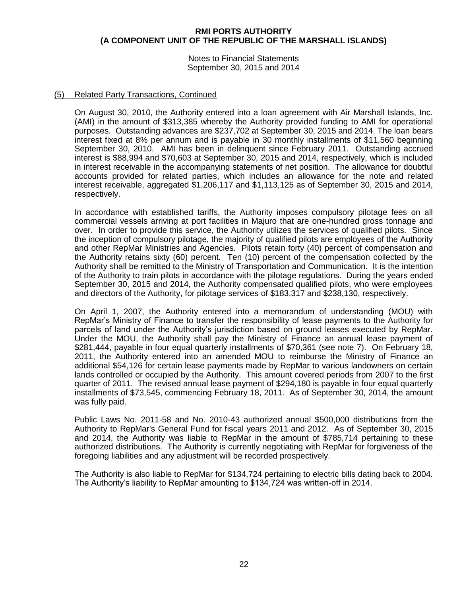Notes to Financial Statements September 30, 2015 and 2014

## (5) Related Party Transactions, Continued

On August 30, 2010, the Authority entered into a loan agreement with Air Marshall Islands, Inc. (AMI) in the amount of \$313,385 whereby the Authority provided funding to AMI for operational purposes. Outstanding advances are \$237,702 at September 30, 2015 and 2014. The loan bears interest fixed at 8% per annum and is payable in 30 monthly installments of \$11,560 beginning September 30, 2010. AMI has been in delinquent since February 2011. Outstanding accrued interest is \$88,994 and \$70,603 at September 30, 2015 and 2014, respectively, which is included in interest receivable in the accompanying statements of net position. The allowance for doubtful accounts provided for related parties, which includes an allowance for the note and related interest receivable, aggregated \$1,206,117 and \$1,113,125 as of September 30, 2015 and 2014, respectively.

In accordance with established tariffs, the Authority imposes compulsory pilotage fees on all commercial vessels arriving at port facilities in Majuro that are one-hundred gross tonnage and over. In order to provide this service, the Authority utilizes the services of qualified pilots. Since the inception of compulsory pilotage, the majority of qualified pilots are employees of the Authority and other RepMar Ministries and Agencies. Pilots retain forty (40) percent of compensation and the Authority retains sixty (60) percent. Ten (10) percent of the compensation collected by the Authority shall be remitted to the Ministry of Transportation and Communication. It is the intention of the Authority to train pilots in accordance with the pilotage regulations. During the years ended September 30, 2015 and 2014, the Authority compensated qualified pilots, who were employees and directors of the Authority, for pilotage services of \$183,317 and \$238,130, respectively.

On April 1, 2007, the Authority entered into a memorandum of understanding (MOU) with RepMar's Ministry of Finance to transfer the responsibility of lease payments to the Authority for parcels of land under the Authority's jurisdiction based on ground leases executed by RepMar. Under the MOU, the Authority shall pay the Ministry of Finance an annual lease payment of \$281,444, payable in four equal quarterly installments of \$70,361 (see note 7). On February 18, 2011, the Authority entered into an amended MOU to reimburse the Ministry of Finance an additional \$54,126 for certain lease payments made by RepMar to various landowners on certain lands controlled or occupied by the Authority. This amount covered periods from 2007 to the first quarter of 2011. The revised annual lease payment of \$294,180 is payable in four equal quarterly installments of \$73,545, commencing February 18, 2011. As of September 30, 2014, the amount was fully paid.

Public Laws No. 2011-58 and No. 2010-43 authorized annual \$500,000 distributions from the Authority to RepMar's General Fund for fiscal years 2011 and 2012. As of September 30, 2015 and 2014, the Authority was liable to RepMar in the amount of \$785,714 pertaining to these authorized distributions. The Authority is currently negotiating with RepMar for forgiveness of the foregoing liabilities and any adjustment will be recorded prospectively.

The Authority is also liable to RepMar for \$134,724 pertaining to electric bills dating back to 2004. The Authority's liability to RepMar amounting to \$134,724 was written-off in 2014.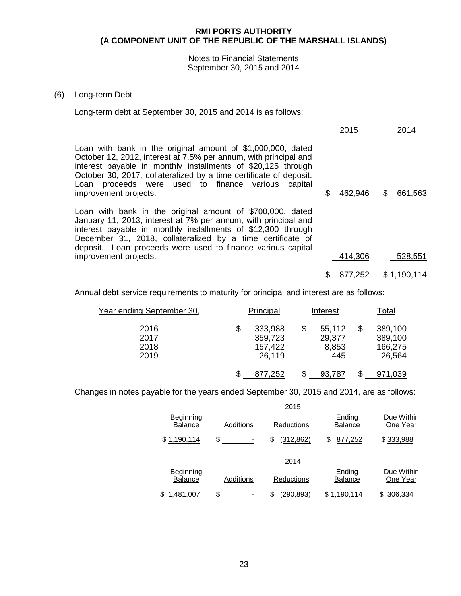Notes to Financial Statements September 30, 2015 and 2014

## (6) Long-term Debt

Long-term debt at September 30, 2015 and 2014 is as follows:

|                                                                                                                                                                                                                                                                                                                                                      | 2015          |                |             |
|------------------------------------------------------------------------------------------------------------------------------------------------------------------------------------------------------------------------------------------------------------------------------------------------------------------------------------------------------|---------------|----------------|-------------|
| Loan with bank in the original amount of \$1,000,000, dated<br>October 12, 2012, interest at 7.5% per annum, with principal and<br>interest payable in monthly installments of \$20,125 through<br>October 30, 2017, collateralized by a time certificate of deposit.<br>Loan proceeds were used to finance various capital<br>improvement projects. | \$<br>462,946 | $\mathfrak{L}$ | 661,563     |
| Loan with bank in the original amount of \$700,000, dated<br>January 11, 2013, interest at 7% per annum, with principal and<br>interest payable in monthly installments of \$12,300 through<br>December 31, 2018, collateralized by a time certificate of<br>deposit. Loan proceeds were used to finance various capital<br>improvement projects.    | 414,306       |                | 528,551     |
|                                                                                                                                                                                                                                                                                                                                                      |               |                |             |
|                                                                                                                                                                                                                                                                                                                                                      | 877,252       |                | \$1,190,114 |

Annual debt service requirements to maturity for principal and interest are as follows:

| Year ending September 30,    | Principal                                     | Interest                         | Total                                   |
|------------------------------|-----------------------------------------------|----------------------------------|-----------------------------------------|
| 2016<br>2017<br>2018<br>2019 | \$<br>333,988<br>359,723<br>157,422<br>26,119 | 55,112<br>29,377<br>8,853<br>445 | 389,100<br>389,100<br>166,275<br>26,564 |
|                              | 77,252                                        | 93,787                           | 971,039                                 |

Changes in notes payable for the years ended September 30, 2015 and 2014, are as follows:

|                             |           | 2015              |                          |                        |
|-----------------------------|-----------|-------------------|--------------------------|------------------------|
| Beginning<br><b>Balance</b> | Additions | Reductions        | Ending<br><b>Balance</b> | Due Within<br>One Year |
| \$1,190,114                 | \$        | \$<br>(312,862)   | \$<br>877,252            | \$333,988              |
|                             |           | 2014              |                          |                        |
| Beginning<br><b>Balance</b> | Additions | <b>Reductions</b> | Ending<br><b>Balance</b> | Due Within<br>One Year |
| .481,007                    | \$        | \$<br>290,893)    | 1,190,114<br>S           | 306.334                |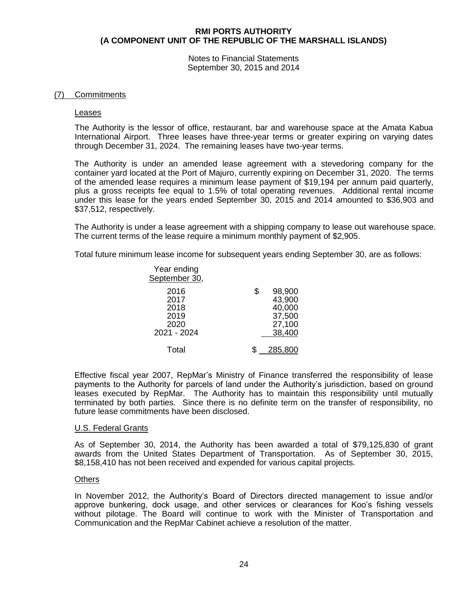Notes to Financial Statements September 30, 2015 and 2014

## (7) Commitments

#### Leases

The Authority is the lessor of office, restaurant, bar and warehouse space at the Amata Kabua International Airport. Three leases have three-year terms or greater expiring on varying dates through December 31, 2024. The remaining leases have two-year terms.

The Authority is under an amended lease agreement with a stevedoring company for the container yard located at the Port of Majuro, currently expiring on December 31, 2020. The terms of the amended lease requires a minimum lease payment of \$19,194 per annum paid quarterly, plus a gross receipts fee equal to 1.5% of total operating revenues. Additional rental income under this lease for the years ended September 30, 2015 and 2014 amounted to \$36,903 and \$37,512, respectively.

The Authority is under a lease agreement with a shipping company to lease out warehouse space. The current terms of the lease require a minimum monthly payment of \$2,905.

Total future minimum lease income for subsequent years ending September 30, are as follows:

| Year ending<br>September 30,                        |                                                                |
|-----------------------------------------------------|----------------------------------------------------------------|
| 2016<br>2017<br>2018<br>2019<br>2020<br>2021 - 2024 | \$<br>98,900<br>43,900<br>40,000<br>37,500<br>27,100<br>38,400 |
| Total                                               | 285.8                                                          |

Effective fiscal year 2007, RepMar's Ministry of Finance transferred the responsibility of lease payments to the Authority for parcels of land under the Authority's jurisdiction, based on ground leases executed by RepMar. The Authority has to maintain this responsibility until mutually terminated by both parties. Since there is no definite term on the transfer of responsibility, no future lease commitments have been disclosed.

## U.S. Federal Grants

As of September 30, 2014, the Authority has been awarded a total of \$79,125,830 of grant awards from the United States Department of Transportation. As of September 30, 2015, \$8,158,410 has not been received and expended for various capital projects.

#### **Others**

In November 2012, the Authority's Board of Directors directed management to issue and/or approve bunkering, dock usage, and other services or clearances for Koo's fishing vessels without pilotage. The Board will continue to work with the Minister of Transportation and Communication and the RepMar Cabinet achieve a resolution of the matter.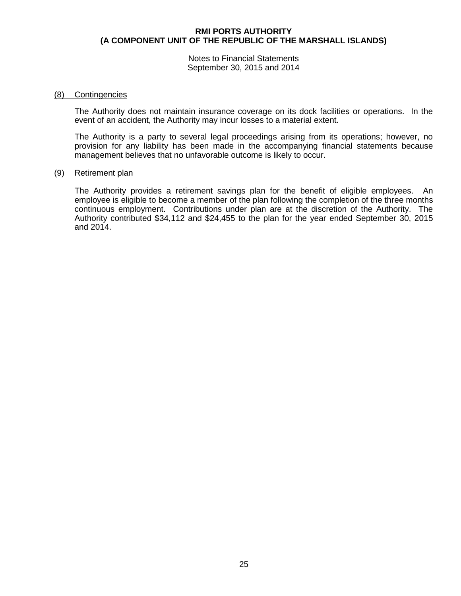Notes to Financial Statements September 30, 2015 and 2014

#### (8) Contingencies

The Authority does not maintain insurance coverage on its dock facilities or operations. In the event of an accident, the Authority may incur losses to a material extent.

The Authority is a party to several legal proceedings arising from its operations; however, no provision for any liability has been made in the accompanying financial statements because management believes that no unfavorable outcome is likely to occur.

#### (9) Retirement plan

The Authority provides a retirement savings plan for the benefit of eligible employees. An employee is eligible to become a member of the plan following the completion of the three months continuous employment. Contributions under plan are at the discretion of the Authority. The Authority contributed \$34,112 and \$24,455 to the plan for the year ended September 30, 2015 and 2014.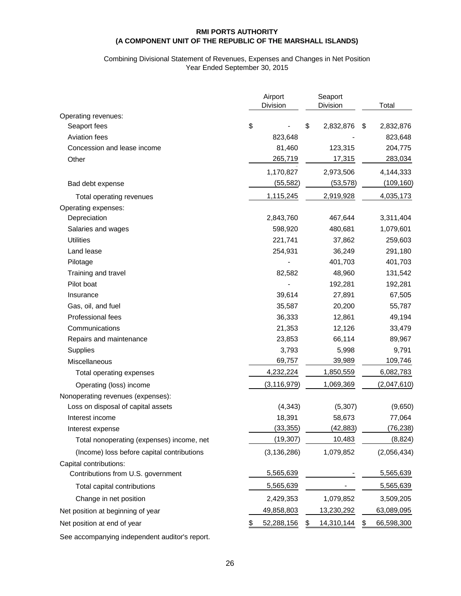#### Combining Divisional Statement of Revenues, Expenses and Changes in Net Position Year Ended September 30, 2015

|                                                | Airport<br>Division | Seaport<br>Division | Total            |
|------------------------------------------------|---------------------|---------------------|------------------|
| Operating revenues:                            |                     |                     |                  |
| Seaport fees                                   | \$                  | \$<br>2,832,876     | 2,832,876<br>\$  |
| <b>Aviation fees</b>                           | 823,648             |                     | 823,648          |
| Concession and lease income                    | 81,460              | 123,315             | 204,775          |
| Other                                          | 265,719             | 17,315              | 283,034          |
|                                                | 1,170,827           | 2,973,506           | 4,144,333        |
| Bad debt expense                               | (55, 582)           | (53, 578)           | (109, 160)       |
| Total operating revenues                       | 1,115,245           | 2,919,928           | 4,035,173        |
| Operating expenses:                            |                     |                     |                  |
| Depreciation                                   | 2,843,760           | 467,644             | 3,311,404        |
| Salaries and wages                             | 598,920             | 480,681             | 1,079,601        |
| <b>Utilities</b>                               | 221,741             | 37,862              | 259,603          |
| Land lease                                     | 254,931             | 36,249              | 291,180          |
| Pilotage                                       |                     | 401,703             | 401,703          |
| Training and travel                            | 82,582              | 48,960              | 131,542          |
| Pilot boat                                     |                     | 192,281             | 192,281          |
| Insurance                                      | 39,614              | 27,891              | 67,505           |
| Gas, oil, and fuel                             | 35,587              | 20,200              | 55,787           |
| Professional fees                              | 36,333              | 12,861              | 49,194           |
| Communications                                 | 21,353              | 12,126              | 33,479           |
| Repairs and maintenance                        | 23,853              | 66,114              | 89,967           |
| Supplies                                       | 3,793               | 5,998               | 9,791            |
| Miscellaneous                                  | 69,757              | 39,989              | 109,746          |
| Total operating expenses                       | 4,232,224           | 1,850,559           | 6,082,783        |
| Operating (loss) income                        | (3, 116, 979)       | 1,069,369           | (2,047,610)      |
| Nonoperating revenues (expenses):              |                     |                     |                  |
| Loss on disposal of capital assets             | (4, 343)            | (5, 307)            | (9,650)          |
| Interest income                                | 18,391              | 58,673              | 77,064           |
| Interest expense                               | (33, 355)           | (42, 883)           | (76, 238)        |
| Total nonoperating (expenses) income, net      | (19, 307)           | 10,483              | (8, 824)         |
| (Income) loss before capital contributions     | (3, 136, 286)       | 1,079,852           | (2,056,434)      |
| Capital contributions:                         |                     |                     |                  |
| Contributions from U.S. government             | 5,565,639           |                     | 5,565,639        |
| Total capital contributions                    | 5,565,639           |                     | 5,565,639        |
| Change in net position                         | 2,429,353           | 1,079,852           | 3,509,205        |
| Net position at beginning of year              | 49,858,803          | 13,230,292          | 63,089,095       |
| Net position at end of year                    | \$<br>52,288,156    | \$<br>14,310,144    | 66,598,300<br>\$ |
| See accompanying independent auditor's report. |                     |                     |                  |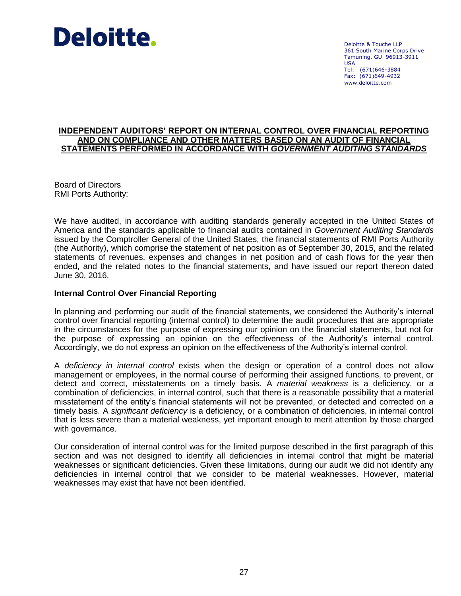# Deloitte.

Deloitte & Touche LLP 361 South Marine Corps Drive Tamuning, GU 96913-3911 USA Tel: (671)646-3884 Fax: (671)649-4932 www.deloitte.com

#### **INDEPENDENT AUDITORS' REPORT ON INTERNAL CONTROL OVER FINANCIAL REPORTING AND ON COMPLIANCE AND OTHER MATTERS BASED ON AN AUDIT OF FINANCIAL STATEMENTS PERFORMED IN ACCORDANCE WITH** *GOVERNMENT AUDITING STANDARDS*

Board of Directors RMI Ports Authority:

We have audited, in accordance with auditing standards generally accepted in the United States of America and the standards applicable to financial audits contained in *Government Auditing Standards* issued by the Comptroller General of the United States, the financial statements of RMI Ports Authority (the Authority), which comprise the statement of net position as of September 30, 2015, and the related statements of revenues, expenses and changes in net position and of cash flows for the year then ended, and the related notes to the financial statements, and have issued our report thereon dated June 30, 2016.

## **Internal Control Over Financial Reporting**

In planning and performing our audit of the financial statements, we considered the Authority's internal control over financial reporting (internal control) to determine the audit procedures that are appropriate in the circumstances for the purpose of expressing our opinion on the financial statements, but not for the purpose of expressing an opinion on the effectiveness of the Authority's internal control. Accordingly, we do not express an opinion on the effectiveness of the Authority's internal control.

A *deficiency in internal control* exists when the design or operation of a control does not allow management or employees, in the normal course of performing their assigned functions, to prevent, or detect and correct, misstatements on a timely basis. A *material weakness* is a deficiency, or a combination of deficiencies, in internal control, such that there is a reasonable possibility that a material misstatement of the entity's financial statements will not be prevented, or detected and corrected on a timely basis. A *significant deficiency* is a deficiency, or a combination of deficiencies, in internal control that is less severe than a material weakness, yet important enough to merit attention by those charged with governance.

Our consideration of internal control was for the limited purpose described in the first paragraph of this section and was not designed to identify all deficiencies in internal control that might be material weaknesses or significant deficiencies. Given these limitations, during our audit we did not identify any deficiencies in internal control that we consider to be material weaknesses. However, material weaknesses may exist that have not been identified.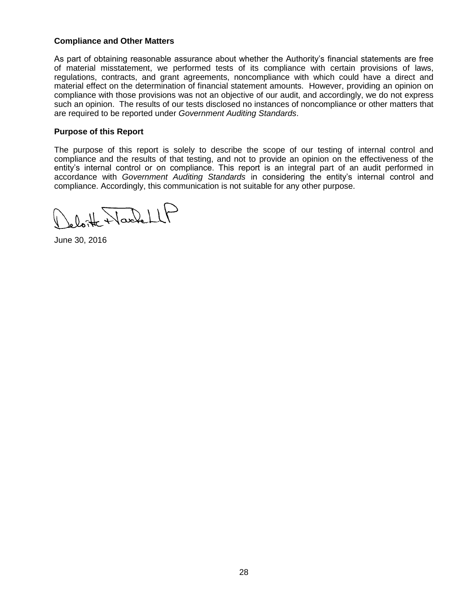## **Compliance and Other Matters**

As part of obtaining reasonable assurance about whether the Authority's financial statements are free of material misstatement, we performed tests of its compliance with certain provisions of laws, regulations, contracts, and grant agreements, noncompliance with which could have a direct and material effect on the determination of financial statement amounts. However, providing an opinion on compliance with those provisions was not an objective of our audit, and accordingly, we do not express such an opinion. The results of our tests disclosed no instances of noncompliance or other matters that are required to be reported under *Government Auditing Standards*.

## **Purpose of this Report**

The purpose of this report is solely to describe the scope of our testing of internal control and compliance and the results of that testing, and not to provide an opinion on the effectiveness of the entity's internal control or on compliance. This report is an integral part of an audit performed in accordance with *Government Auditing Standards* in considering the entity's internal control and compliance. Accordingly, this communication is not suitable for any other purpose.

leloite NacheLLF

June 30, 2016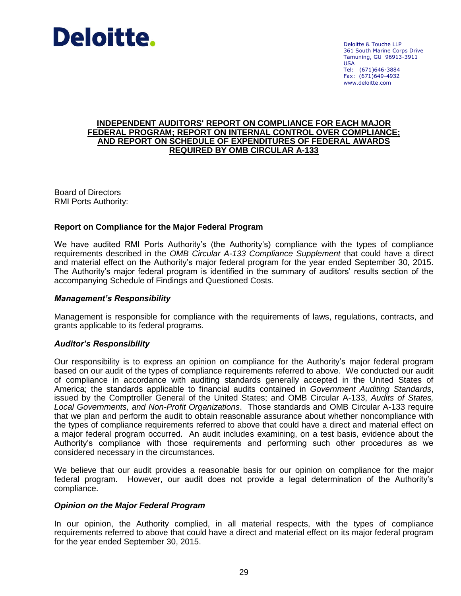

Deloitte & Touche LLP 361 South Marine Corps Drive Tamuning, GU 96913-3911 USA Tel: (671)646-3884 Fax: (671)649-4932 www.deloitte.com

#### **INDEPENDENT AUDITORS' REPORT ON COMPLIANCE FOR EACH MAJOR FEDERAL PROGRAM; REPORT ON INTERNAL CONTROL OVER COMPLIANCE; AND REPORT ON SCHEDULE OF EXPENDITURES OF FEDERAL AWARDS REQUIRED BY OMB CIRCULAR A-133**

Board of Directors RMI Ports Authority:

## **Report on Compliance for the Major Federal Program**

We have audited RMI Ports Authority's (the Authority's) compliance with the types of compliance requirements described in the *OMB Circular A-133 Compliance Supplement* that could have a direct and material effect on the Authority's major federal program for the year ended September 30, 2015. The Authority's major federal program is identified in the summary of auditors' results section of the accompanying Schedule of Findings and Questioned Costs.

## *Management's Responsibility*

Management is responsible for compliance with the requirements of laws, regulations, contracts, and grants applicable to its federal programs.

## *Auditor's Responsibility*

Our responsibility is to express an opinion on compliance for the Authority's major federal program based on our audit of the types of compliance requirements referred to above. We conducted our audit of compliance in accordance with auditing standards generally accepted in the United States of America; the standards applicable to financial audits contained in *Government Auditing Standards*, issued by the Comptroller General of the United States; and OMB Circular A-133, *Audits of States, Local Governments, and Non-Profit Organizations*. Those standards and OMB Circular A-133 require that we plan and perform the audit to obtain reasonable assurance about whether noncompliance with the types of compliance requirements referred to above that could have a direct and material effect on a major federal program occurred. An audit includes examining, on a test basis, evidence about the Authority's compliance with those requirements and performing such other procedures as we considered necessary in the circumstances.

We believe that our audit provides a reasonable basis for our opinion on compliance for the major federal program. However, our audit does not provide a legal determination of the Authority's compliance.

## *Opinion on the Major Federal Program*

In our opinion, the Authority complied, in all material respects, with the types of compliance requirements referred to above that could have a direct and material effect on its major federal program for the year ended September 30, 2015.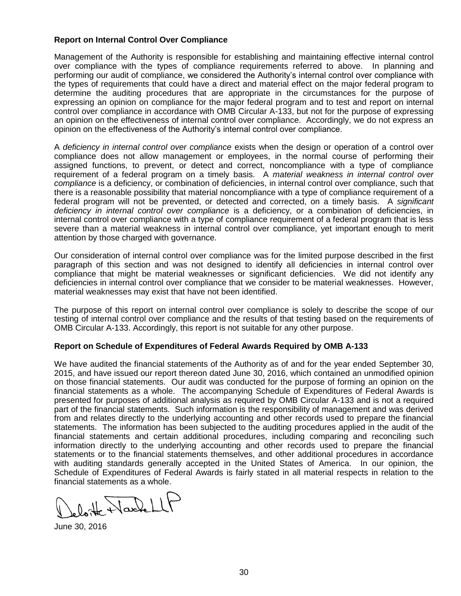## **Report on Internal Control Over Compliance**

Management of the Authority is responsible for establishing and maintaining effective internal control over compliance with the types of compliance requirements referred to above. In planning and performing our audit of compliance, we considered the Authority's internal control over compliance with the types of requirements that could have a direct and material effect on the major federal program to determine the auditing procedures that are appropriate in the circumstances for the purpose of expressing an opinion on compliance for the major federal program and to test and report on internal control over compliance in accordance with OMB Circular A-133, but not for the purpose of expressing an opinion on the effectiveness of internal control over compliance. Accordingly, we do not express an opinion on the effectiveness of the Authority's internal control over compliance.

A *deficiency in internal control over compliance* exists when the design or operation of a control over compliance does not allow management or employees, in the normal course of performing their assigned functions, to prevent, or detect and correct, noncompliance with a type of compliance requirement of a federal program on a timely basis. A *material weakness in internal control over compliance* is a deficiency, or combination of deficiencies, in internal control over compliance, such that there is a reasonable possibility that material noncompliance with a type of compliance requirement of a federal program will not be prevented, or detected and corrected, on a timely basis. A *significant deficiency in internal control over compliance* is a deficiency, or a combination of deficiencies, in internal control over compliance with a type of compliance requirement of a federal program that is less severe than a material weakness in internal control over compliance, yet important enough to merit attention by those charged with governance.

Our consideration of internal control over compliance was for the limited purpose described in the first paragraph of this section and was not designed to identify all deficiencies in internal control over compliance that might be material weaknesses or significant deficiencies. We did not identify any deficiencies in internal control over compliance that we consider to be material weaknesses. However, material weaknesses may exist that have not been identified.

The purpose of this report on internal control over compliance is solely to describe the scope of our testing of internal control over compliance and the results of that testing based on the requirements of OMB Circular A-133. Accordingly, this report is not suitable for any other purpose.

## **Report on Schedule of Expenditures of Federal Awards Required by OMB A-133**

We have audited the financial statements of the Authority as of and for the year ended September 30, 2015, and have issued our report thereon dated June 30, 2016, which contained an unmodified opinion on those financial statements. Our audit was conducted for the purpose of forming an opinion on the financial statements as a whole. The accompanying Schedule of Expenditures of Federal Awards is presented for purposes of additional analysis as required by OMB Circular A-133 and is not a required part of the financial statements. Such information is the responsibility of management and was derived from and relates directly to the underlying accounting and other records used to prepare the financial statements. The information has been subjected to the auditing procedures applied in the audit of the financial statements and certain additional procedures, including comparing and reconciling such information directly to the underlying accounting and other records used to prepare the financial statements or to the financial statements themselves, and other additional procedures in accordance with auditing standards generally accepted in the United States of America. In our opinion, the Schedule of Expenditures of Federal Awards is fairly stated in all material respects in relation to the financial statements as a whole.

loite Nachell

June 30, 2016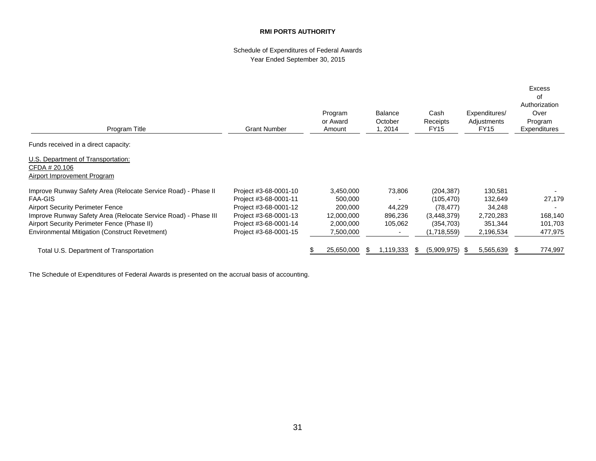#### **RMI PORTS AUTHORITY**

#### Schedule of Expenditures of Federal Awards Year Ended September 30, 2015

| Program Title                                                                      | <b>Grant Number</b>   | Program<br>or Award<br>Amount | Balance<br>October<br>1, 2014 | Cash<br>Receipts<br>FY15 | Expenditures/<br>Adjustments<br><b>FY15</b> | Excess<br>οt<br>Authorization<br>Over<br>Program<br>Expenditures |
|------------------------------------------------------------------------------------|-----------------------|-------------------------------|-------------------------------|--------------------------|---------------------------------------------|------------------------------------------------------------------|
| Funds received in a direct capacity:                                               |                       |                               |                               |                          |                                             |                                                                  |
| U.S. Department of Transportation:<br>CFDA # 20.106<br>Airport Improvement Program |                       |                               |                               |                          |                                             |                                                                  |
| Improve Runway Safety Area (Relocate Service Road) - Phase II                      | Project #3-68-0001-10 | 3,450,000                     | 73,806                        | (204, 387)               | 130,581                                     |                                                                  |
| <b>FAA-GIS</b>                                                                     | Project #3-68-0001-11 | 500,000                       |                               | (105, 470)               | 132,649                                     | 27,179                                                           |
| <b>Airport Security Perimeter Fence</b>                                            | Project #3-68-0001-12 | 200,000                       | 44.229                        | (78, 477)                | 34.248                                      |                                                                  |
| Improve Runway Safety Area (Relocate Service Road) - Phase III                     | Project #3-68-0001-13 | 12,000,000                    | 896,236                       | (3,448,379)              | 2,720,283                                   | 168,140                                                          |
| Airport Security Perimeter Fence (Phase II)                                        | Project #3-68-0001-14 | 2,000,000                     | 105,062                       | (354, 703)               | 351,344                                     | 101,703                                                          |
| Environmental Mitigation (Construct Revetment)                                     | Project #3-68-0001-15 | 7,500,000                     |                               | (1,718,559)              | 2,196,534                                   | 477,975                                                          |
| Total U.S. Department of Transportation                                            |                       | 25,650,000                    | 1,119,333<br>Ъ                | (5,909,975)              | 5,565,639<br>-SS                            | 774,997                                                          |

The Schedule of Expenditures of Federal Awards is presented on the accrual basis of accounting.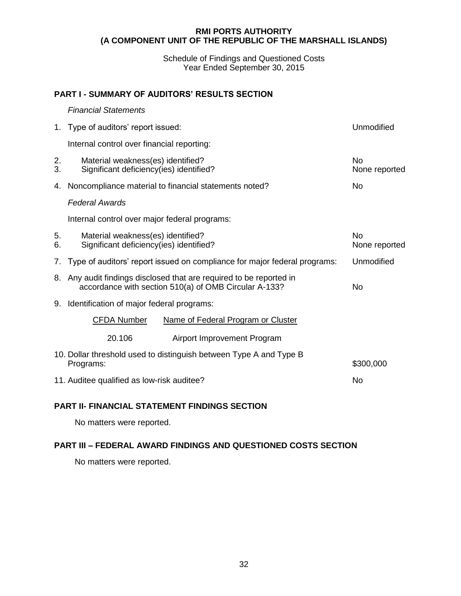Schedule of Findings and Questioned Costs Year Ended September 30, 2015

# **PART I - SUMMARY OF AUDITORS' RESULTS SECTION**

|                                                                    | <b>Financial Statements</b>                                                                                               |                            |  |  |  |  |
|--------------------------------------------------------------------|---------------------------------------------------------------------------------------------------------------------------|----------------------------|--|--|--|--|
| 1.                                                                 | Type of auditors' report issued:                                                                                          | Unmodified                 |  |  |  |  |
|                                                                    | Internal control over financial reporting:                                                                                |                            |  |  |  |  |
| 2.<br>3.                                                           | Material weakness(es) identified?<br>Significant deficiency(ies) identified?                                              | <b>No</b><br>None reported |  |  |  |  |
| 4.                                                                 | Noncompliance material to financial statements noted?                                                                     |                            |  |  |  |  |
|                                                                    | <b>Federal Awards</b>                                                                                                     |                            |  |  |  |  |
|                                                                    | Internal control over major federal programs:                                                                             |                            |  |  |  |  |
| 5.<br>6.                                                           | Material weakness(es) identified?<br>Significant deficiency (ies) identified?                                             | No<br>None reported        |  |  |  |  |
| 7.                                                                 | Type of auditors' report issued on compliance for major federal programs:                                                 | Unmodified                 |  |  |  |  |
| 8.                                                                 | Any audit findings disclosed that are required to be reported in<br>accordance with section 510(a) of OMB Circular A-133? | No                         |  |  |  |  |
| 9.                                                                 | Identification of major federal programs:                                                                                 |                            |  |  |  |  |
|                                                                    | <b>CFDA Number</b><br>Name of Federal Program or Cluster                                                                  |                            |  |  |  |  |
|                                                                    | 20.106<br>Airport Improvement Program                                                                                     |                            |  |  |  |  |
| 10. Dollar threshold used to distinguish between Type A and Type B | \$300,000                                                                                                                 |                            |  |  |  |  |
| 11. Auditee qualified as low-risk auditee?                         | No                                                                                                                        |                            |  |  |  |  |

# **PART II- FINANCIAL STATEMENT FINDINGS SECTION**

No matters were reported.

# **PART III – FEDERAL AWARD FINDINGS AND QUESTIONED COSTS SECTION**

No matters were reported.